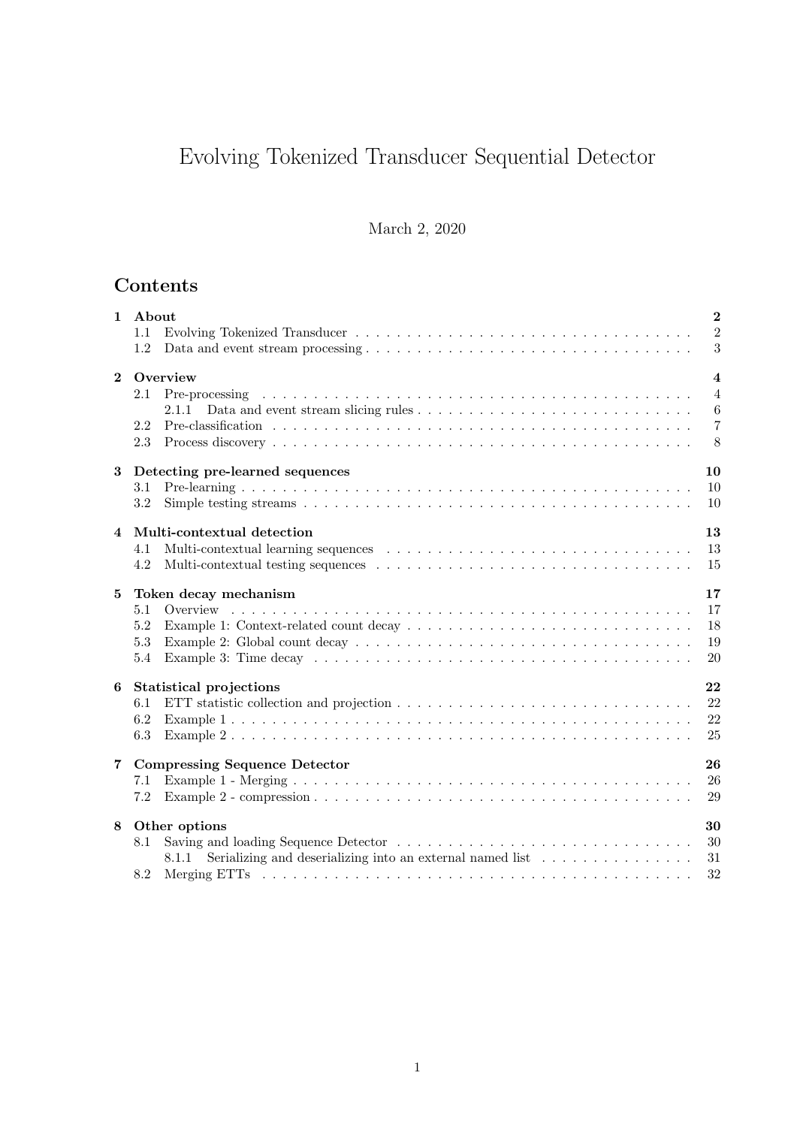# Evolving Tokenized Transducer Sequential Detector

### March 2, 2020

# Contents

| $\mathbf{1}$   | About<br>1.1<br>1.2                                                                                                                                                                                                                                                                                                                                                                  | $\overline{2}$<br>$\overline{2}$<br>3                                     |
|----------------|--------------------------------------------------------------------------------------------------------------------------------------------------------------------------------------------------------------------------------------------------------------------------------------------------------------------------------------------------------------------------------------|---------------------------------------------------------------------------|
| $\overline{2}$ | Overview<br>2.1<br>2.1.1<br>2.2<br>2.3                                                                                                                                                                                                                                                                                                                                               | $\overline{\mathbf{4}}$<br>$\overline{4}$<br>$\,6$<br>$\overline{7}$<br>8 |
| 3              | Detecting pre-learned sequences<br>10<br>10<br>3.1<br>3.2<br>10                                                                                                                                                                                                                                                                                                                      |                                                                           |
| 4              | 13<br>Multi-contextual detection<br>13<br>4.1<br>15<br>4.2                                                                                                                                                                                                                                                                                                                           |                                                                           |
| 5              | 17<br>Token decay mechanism<br>17<br>5.1<br>5.2<br>5.3<br>20<br>5.4                                                                                                                                                                                                                                                                                                                  | 18<br>19                                                                  |
| 6              | 22<br>Statistical projections<br>22<br>6.1<br>22<br>6.2<br>25<br>6.3                                                                                                                                                                                                                                                                                                                 |                                                                           |
| $\overline{7}$ | 26<br><b>Compressing Sequence Detector</b><br>26<br>7.1<br>29<br>7.2                                                                                                                                                                                                                                                                                                                 |                                                                           |
| 8              | Other options<br>30<br>30<br>8.1<br>Serializing and descrializing into an external named list $\dots \dots \dots \dots \dots$<br>8.1.1<br>31<br>8.2<br>Merging ETTs responses to the contract of the contract of the contract of the contract of the contract of the contract of the contract of the contract of the contract of the contract of the contract of the contract of the | 32                                                                        |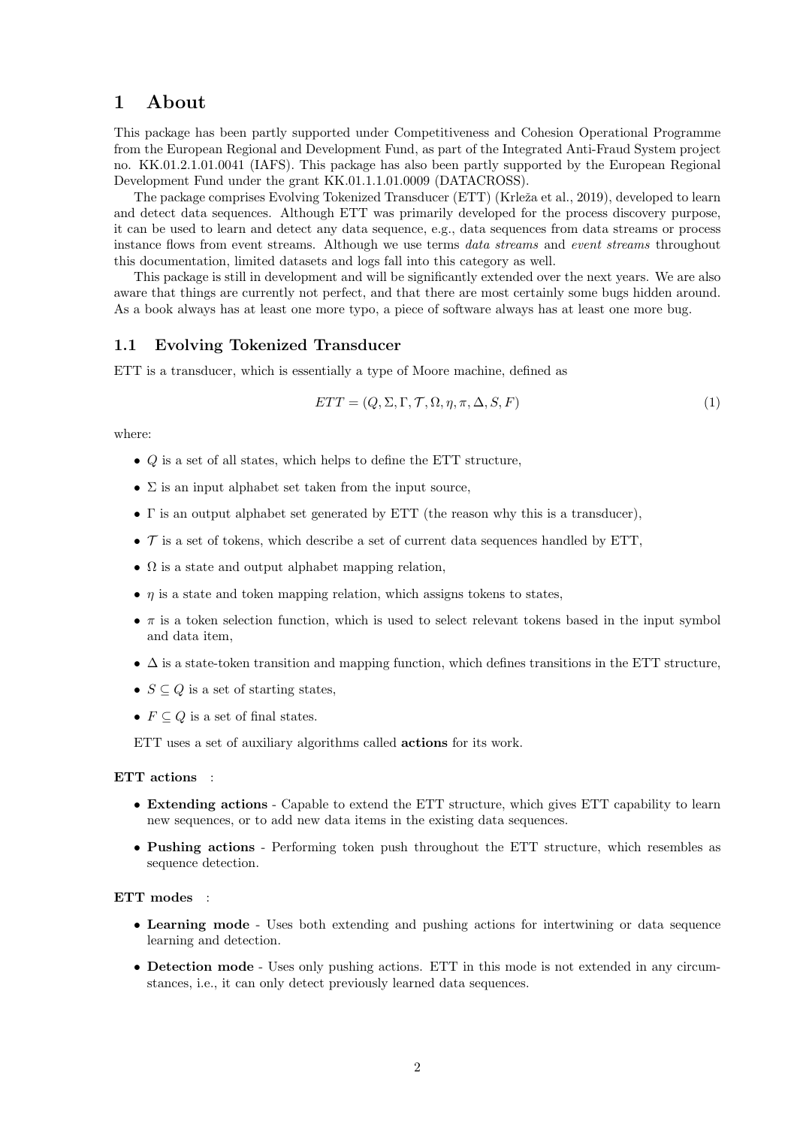### 1 About

This package has been partly supported under Competitiveness and Cohesion Operational Programme from the European Regional and Development Fund, as part of the Integrated Anti-Fraud System project no. KK.01.2.1.01.0041 (IAFS). This package has also been partly supported by the European Regional Development Fund under the grant KK.01.1.1.01.0009 (DATACROSS).

The package comprises Evolving Tokenized Transducer (ETT) (Krleža et al., 2019), developed to learn and detect data sequences. Although ETT was primarily developed for the process discovery purpose, it can be used to learn and detect any data sequence, e.g., data sequences from data streams or process instance flows from event streams. Although we use terms data streams and event streams throughout this documentation, limited datasets and logs fall into this category as well.

This package is still in development and will be significantly extended over the next years. We are also aware that things are currently not perfect, and that there are most certainly some bugs hidden around. As a book always has at least one more typo, a piece of software always has at least one more bug.

### 1.1 Evolving Tokenized Transducer

ETT is a transducer, which is essentially a type of Moore machine, defined as

$$
ETT = (Q, \Sigma, \Gamma, \mathcal{T}, \Omega, \eta, \pi, \Delta, S, F) \tag{1}
$$

where:

- $\bullet$  Q is a set of all states, which helps to define the ETT structure,
- $\Sigma$  is an input alphabet set taken from the input source,
- Γ is an output alphabet set generated by ETT (the reason why this is a transducer),
- $\mathcal T$  is a set of tokens, which describe a set of current data sequences handled by ETT,
- $\Omega$  is a state and output alphabet mapping relation,
- $\eta$  is a state and token mapping relation, which assigns tokens to states,
- $\bullet$   $\pi$  is a token selection function, which is used to select relevant tokens based in the input symbol and data item,
- $\Delta$  is a state-token transition and mapping function, which defines transitions in the ETT structure,
- $S \subseteq Q$  is a set of starting states,
- $F \subseteq Q$  is a set of final states.

ETT uses a set of auxiliary algorithms called actions for its work.

#### ETT actions :

- Extending actions Capable to extend the ETT structure, which gives ETT capability to learn new sequences, or to add new data items in the existing data sequences.
- Pushing actions Performing token push throughout the ETT structure, which resembles as sequence detection.

#### ETT modes :

- Learning mode Uses both extending and pushing actions for intertwining or data sequence learning and detection.
- Detection mode Uses only pushing actions. ETT in this mode is not extended in any circumstances, i.e., it can only detect previously learned data sequences.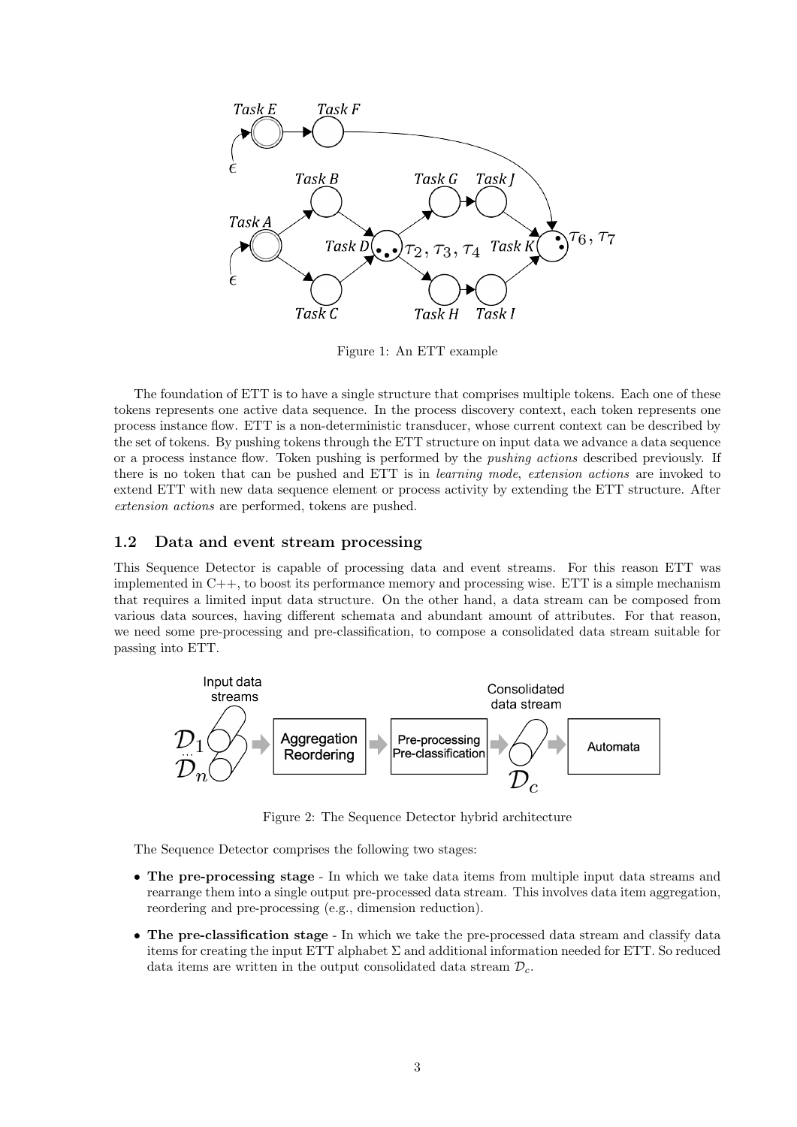

Figure 1: An ETT example

The foundation of ETT is to have a single structure that comprises multiple tokens. Each one of these tokens represents one active data sequence. In the process discovery context, each token represents one process instance flow. ETT is a non-deterministic transducer, whose current context can be described by the set of tokens. By pushing tokens through the ETT structure on input data we advance a data sequence or a process instance flow. Token pushing is performed by the pushing actions described previously. If there is no token that can be pushed and ETT is in *learning mode*, *extension actions* are invoked to extend ETT with new data sequence element or process activity by extending the ETT structure. After extension actions are performed, tokens are pushed.

#### 1.2 Data and event stream processing

This Sequence Detector is capable of processing data and event streams. For this reason ETT was implemented in C++, to boost its performance memory and processing wise. ETT is a simple mechanism that requires a limited input data structure. On the other hand, a data stream can be composed from various data sources, having different schemata and abundant amount of attributes. For that reason, we need some pre-processing and pre-classification, to compose a consolidated data stream suitable for passing into ETT.



Figure 2: The Sequence Detector hybrid architecture

The Sequence Detector comprises the following two stages:

- The pre-processing stage In which we take data items from multiple input data streams and rearrange them into a single output pre-processed data stream. This involves data item aggregation, reordering and pre-processing (e.g., dimension reduction).
- The pre-classification stage In which we take the pre-processed data stream and classify data items for creating the input ETT alphabet  $\Sigma$  and additional information needed for ETT. So reduced data items are written in the output consolidated data stream  $\mathcal{D}_c$ .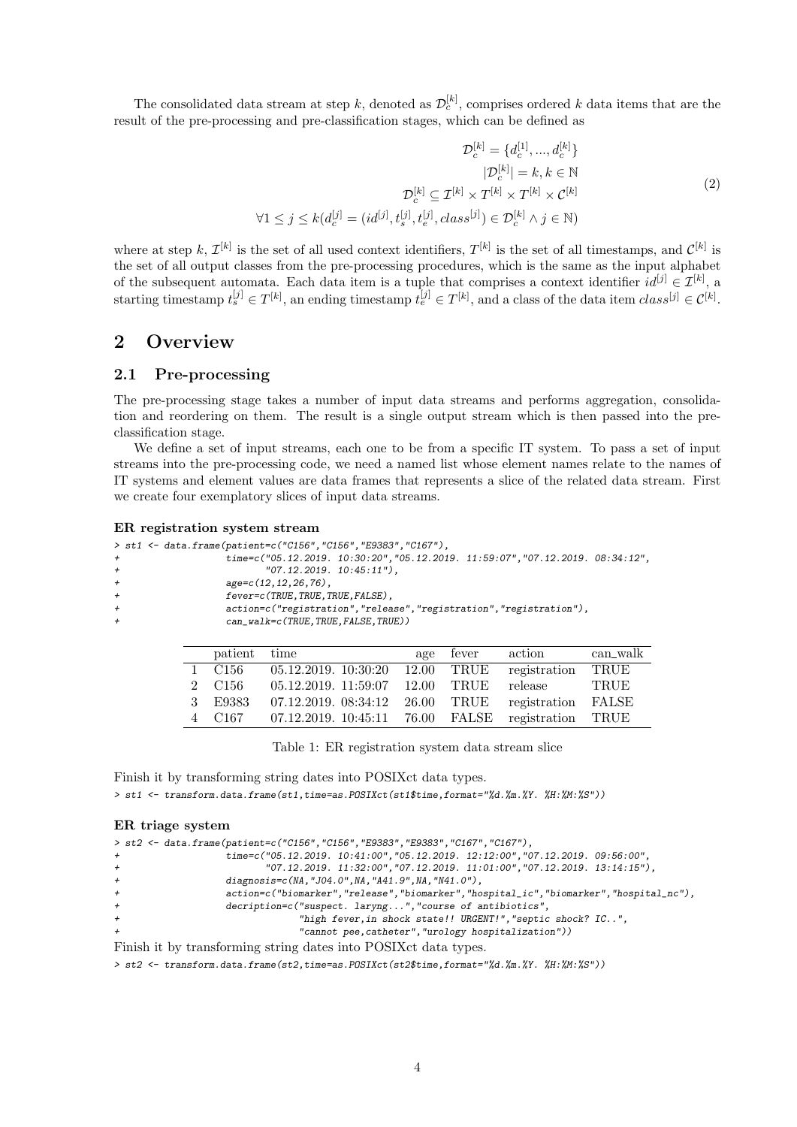The consolidated data stream at step k, denoted as  $\mathcal{D}_{c}^{[k]}$ , comprises ordered k data items that are the result of the pre-processing and pre-classification stages, which can be defined as

$$
\mathcal{D}_c^{[k]} = \{d_c^{[1]}, \dots, d_c^{[k]}\}
$$

$$
|\mathcal{D}_c^{[k]}| = k, k \in \mathbb{N}
$$

$$
\mathcal{D}_c^{[k]} \subseteq \mathcal{I}^{[k]} \times \mathcal{T}^{[k]} \times \mathcal{T}^{[k]} \times \mathcal{C}^{[k]}
$$

$$
\forall 1 \le j \le k(d_c^{[j]} = (id^{[j]}, t_s^{[j]}, t_e^{[j]}, class^{[j]}) \in \mathcal{D}_c^{[k]} \land j \in \mathbb{N})
$$

$$
(2)
$$

where at step k,  $\mathcal{I}^{[k]}$  is the set of all used context identifiers,  $T^{[k]}$  is the set of all timestamps, and  $\mathcal{C}^{[k]}$  is the set of all output classes from the pre-processing procedures, which is the same as the input alphabet of the subsequent automata. Each data item is a tuple that comprises a context identifier  $id^{[j]} \in \mathcal{I}^{[k]}$ , a starting timestamp  $t_s^{[j]} \in T^{[k]}$ , an ending timestamp  $t_e^{[j]} \in T^{[k]}$ , and a class of the data item  $class^{[j]} \in C^{[k]}$ .

### 2 Overview

#### 2.1 Pre-processing

The pre-processing stage takes a number of input data streams and performs aggregation, consolidation and reordering on them. The result is a single output stream which is then passed into the preclassification stage.

We define a set of input streams, each one to be from a specific IT system. To pass a set of input streams into the pre-processing code, we need a named list whose element names relate to the names of IT systems and element values are data frames that represents a slice of the related data stream. First we create four exemplatory slices of input data streams.

#### ER registration system stream

|        | > st1 <- data.frame(patient=c("C156","C156","E9383","C167"),                 |  |
|--------|------------------------------------------------------------------------------|--|
| $^{+}$ | time=c("05.12.2019. 10:30:20","05.12.2019. 11:59:07","07.12.2019. 08:34:12", |  |
| $^{+}$ | $"07.12.2019.10:45:11"$ ,                                                    |  |
| $^{+}$ | $age=c(12, 12, 26, 76)$ ,                                                    |  |
| $^{+}$ | fever=c(TRUE, TRUE, TRUE, FALSE),                                            |  |
| $^{+}$ | action=c("registration","release","registration","registration"),            |  |
| $^{+}$ | can_walk=c(TRUE,TRUE,FALSE,TRUE))                                            |  |
|        |                                                                              |  |

| patient          | time                 | age   | fever                  | action       | can_walk     |
|------------------|----------------------|-------|------------------------|--------------|--------------|
| C156             | 05.12.2019.10:30:20  | 12.00 | TRUE                   | registration | TRUE         |
| C <sub>156</sub> | 05.12.2019. 11:59:07 | 12.00 | TRUE                   | release      | <b>TRUE</b>  |
| E9383            | 07.12.2019. 08:34:12 | 26.00 | TRUE                   | registration | $\rm{FALSE}$ |
| C <sub>167</sub> | 07.12.2019. 10:45:11 | 76.00 | $\operatorname{FALSE}$ | registration | TRUE         |

Table 1: ER registration system data stream slice

Finish it by transforming string dates into POSIXct data types. > st1 <- transform.data.frame(st1,time=as.POSIXct(st1\$time,format="%d.%m.%Y. %H:%M:%S"))

#### ER triage system

|        | > st2 <- data.frame(patient=c("C156","C156","E9383","E9383","C167","C167"),             |
|--------|-----------------------------------------------------------------------------------------|
| $^{+}$ | time=c("05.12.2019. 10:41:00","05.12.2019. 12:12:00","07.12.2019. 09:56:00",            |
| $^{+}$ | $"07.12.2019.$ $11.32.00"$ , $"07.12.2019.$ $11.01.00"$ , $"07.12.2019.$ $13.14.15"$ ), |
| $^{+}$ | diagnosis= $c(NA, "J04.0", NA, "A41.9", NA, "N41.0"),$                                  |
| $+$    | action=c("biomarker","release","biomarker","hospital_ic","biomarker","hospital_nc"),    |
| $+$    | decription=c("suspect. laryng", "course of antibiotics",                                |
| $+$    | "high fever, in shock state!! URGENT!", "septic shock? IC",                             |
| $+$    | "cannot pee, catheter", "urology hospitalization"))                                     |
|        | Finish it by transforming string dates into POSIX ct data types.                        |

> st2 <- transform.data.frame(st2,time=as.POSIXct(st2\$time,format="%d.%m.%Y. %H:%M:%S"))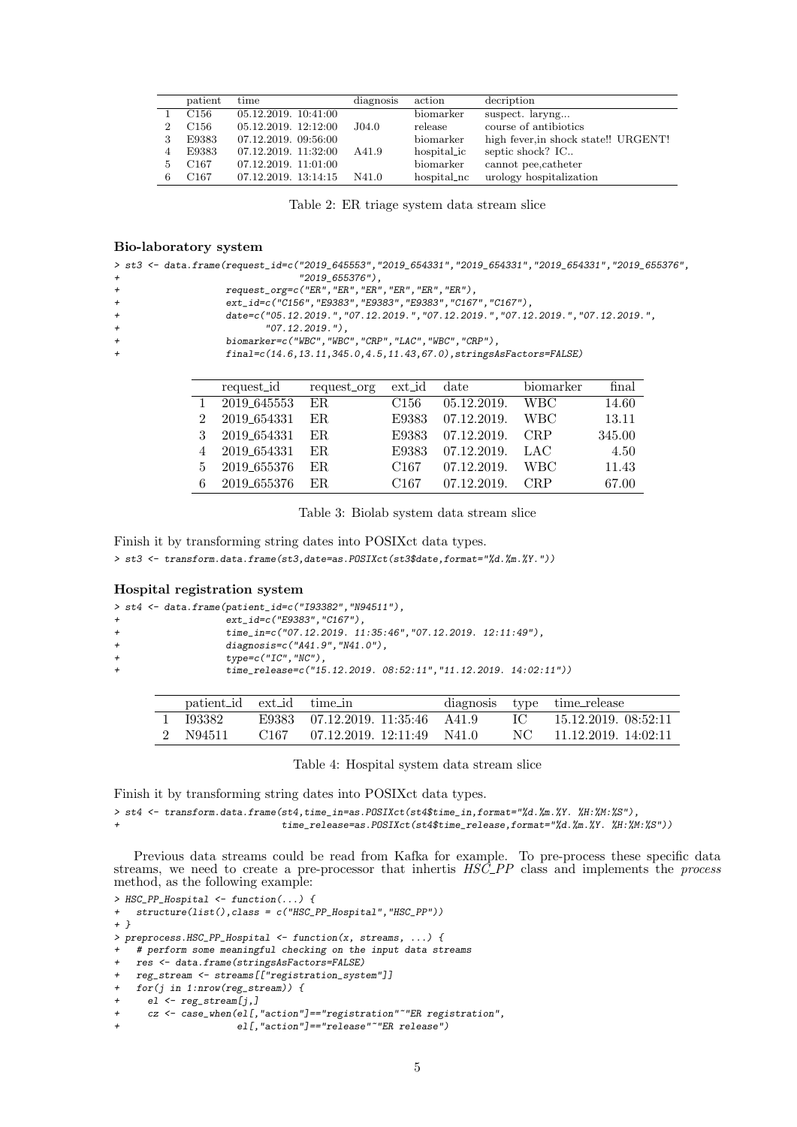| patient          | time                 | diagnosis | action      | decription                           |
|------------------|----------------------|-----------|-------------|--------------------------------------|
| C <sub>156</sub> | 05.12.2019. 10:41:00 |           | biomarker   | suspect. laryng                      |
| C156             | 05.12.2019. 12:12:00 | J04.0     | release     | course of antibiotics                |
| E9383            | 07.12.2019. 09:56:00 |           | biomarker   | high fever, in shock state!! URGENT! |
| E9383            | 07.12.2019. 11:32:00 | A41.9     | hospitalic  | septic shock? IC                     |
| C <sub>167</sub> | 07.12.2019. 11:01:00 |           | biomarker   | cannot pee, catheter                 |
| C <sub>167</sub> | 07.12.2019. 13:14:15 | N41.0     | hospital_nc | urology hospitalization              |

Table 2: ER triage system data stream slice

#### Bio-laboratory system

|  | > st3 <- data.frame(request_id=c("2019_645553","2019_654331","2019_654331","2019_654331","2019_655376", |                 |  |  |  |  |
|--|---------------------------------------------------------------------------------------------------------|-----------------|--|--|--|--|
|  |                                                                                                         | "2019_655376"), |  |  |  |  |

- + request\_org=c("ER","ER","ER","ER","ER","ER"),
- +<br>ext\_id=c("C156", "E9383", "E9383", "E9383", "C167", "C167"),<br>date=c("05.12.2019. ". "07.12.2019. ". "07.12.2019. ". "07.12
	- + date=c("05.12.2019.","07.12.2019.","07.12.2019.","07.12.2019.","07.12.2019.",
- + "07.12.2019."),
- + biomarker=c("WBC","WBC","CRP","LAC","WBC","CRP"),
	- + final=c(14.6,13.11,345.0,4.5,11.43,67.0),stringsAsFactors=FALSE)

|   | request_id     | request_org | ext_id           | $_{\rm date}$ | biomarker  | final  |
|---|----------------|-------------|------------------|---------------|------------|--------|
|   | 2019_645553 ER |             | C <sub>156</sub> | 05.12.2019.   | <b>WBC</b> | 14.60  |
|   | 2019_654331    | ER.         | E9383            | 07.12.2019.   | WBC-       | 13.11  |
|   | 2019_654331    | ER.         | E9383            | 07.12.2019.   | <b>CRP</b> | 345.00 |
|   | 2019_654331    | ER.         | E9383            | 07.12.2019.   | LAC        | 4.50   |
| 5 | 2019_655376    | ER.         | C <sub>167</sub> | 07.12.2019.   | <b>WBC</b> | 11.43  |
|   | 2019_655376    | ER.         | C167             | 07.12.2019.   | <b>CRP</b> | 67.00  |

Table 3: Biolab system data stream slice

Finish it by transforming string dates into POSIXct data types.

> st3 <- transform.data.frame(st3,date=as.POSIXct(st3\$date,format="%d.%m.%Y."))

#### Hospital registration system

|        | > st4 <- data.frame(patient_id=c("I93382","N94511"),                                                                                                                                                                                                                                                                                                            |
|--------|-----------------------------------------------------------------------------------------------------------------------------------------------------------------------------------------------------------------------------------------------------------------------------------------------------------------------------------------------------------------|
| $^{+}$ | ext_id=c("E9383","C167"),                                                                                                                                                                                                                                                                                                                                       |
|        | $\overline{11}$ $\overline{11}$ $\overline{11}$ $\overline{11}$ $\overline{11}$ $\overline{11}$ $\overline{11}$ $\overline{11}$ $\overline{11}$ $\overline{11}$ $\overline{11}$ $\overline{11}$ $\overline{11}$ $\overline{11}$ $\overline{11}$ $\overline{11}$ $\overline{11}$ $\overline{11}$ $\overline{11}$ $\overline{11}$ $\overline{11}$ $\overline{11}$ |

- + time\_in=c("07.12.2019. 11:35:46","07.12.2019. 12:11:49"),
- + diagnosis=c("A41.9","N41.0"),<br>+ type=c("IC" "NC")
	- $type=c("IC", "NC")$ ,
		- + time\_release=c("15.12.2019. 08:52:11","11.12.2019. 14:02:11"))

| patient id ext id time in |                                   |  | diagnosis type time_release   |
|---------------------------|-----------------------------------|--|-------------------------------|
| 1 193382                  | E9383 07.12.2019. 11:35:46 A41.9  |  | $\rm IC$ 15.12.2019. 08:52:11 |
| 2 N94511                  | $C167$ 07.12.2019. 12:11:49 N41.0 |  | NC 11.12.2019. 14:02:11       |

Table 4: Hospital system data stream slice

Finish it by transforming string dates into POSIXct data types.

> st4 <- transform.data.frame(st4,time\_in=as.POSIXct(st4\$time\_in,format="%d.%m.%Y. %H:%M:%S"),

time\_release=as.POSIXct(st4\$time\_release,format="%d.%m.%Y. %H:%M:%S"))

Previous data streams could be read from Kafka for example. To pre-process these specific data streams, we need to create a pre-processor that inhertis  $HS\bar{C}$ -PP class and implements the process method, as the following example:

```
> HSC_PP_Hospital <- function(...) {
+ structure(list(),class = c("HSC_PP_Hospital","HSC_PP"))
+ }
> preprocess.HSC_PP_Hospital <- function(x, streams, ...) {
    # perform some meaningful checking on the input data streams
    + res <- data.frame(stringsAsFactors=FALSE)
    + reg_stream <- streams[["registration_system"]]
+ for(j in 1:nrow(reg_stream)) {<br>+ el \leq reg stream[i ]
      e1 <- reg_stream[j,]
```

```
+ cz <- case_when(el[,"action"]=="registration"~"ER registration",
```

```
el[,"action"]=="release"~"ER release")
```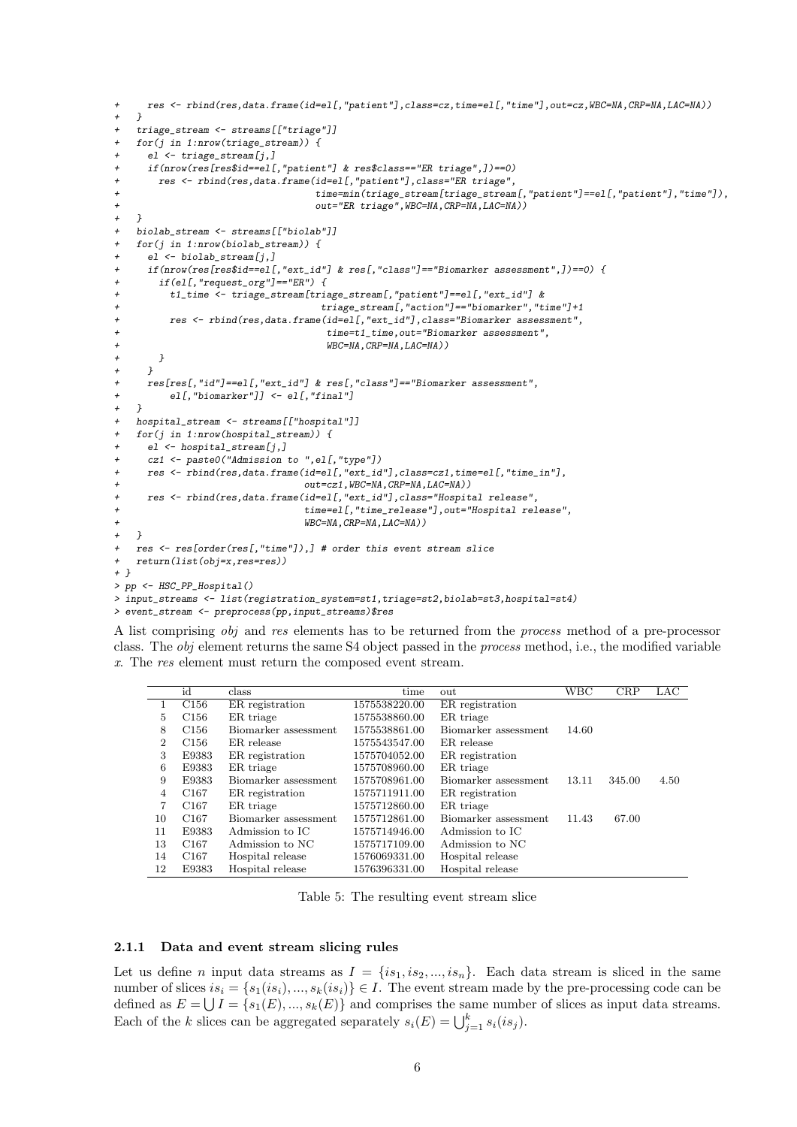```
+ res <- rbind(res,data.frame(id=el[,"patient"],class=cz,time=el[,"time"],out=cz,WBC=NA,CRP=NA,LAC=NA))
   \rightarrow+ triage_stream <- streams[["triage"]]<br>+ for(i in 1:nrow(triage stream)) {
   for(j in 1: nrow(triage\_stream)) {
     el \leftarrow \text{triangle\_stream}[j,]if(nrow(res[res$id==el[,"patient"] & res$class=="ER triage",])==0)
       + res <- rbind(res,data.frame(id=el[,"patient"],class="ER triage",
                                   + time=min(triage_stream[triage_stream[,"patient"]==el[,"patient"],"time"]),
                                   + out="ER triage",WBC=NA,CRP=NA,LAC=NA))
+ }
+ biolab_stream <- streams[["biolab"]]
   for(j in 1: nrow(biolab-stream)) {
     e1 \leftarrow biolab\_stream[j,j]if(nrow(res[res$id==el[, "ext_id"] & res[, "class"] == "Biomarker assessment",]) == 0) {
       if(el[, "request_org"]=="ER") {
+ t1_time <- triage_stream[triage_stream[,"patient"]==el[,"ext_id"] &
                                     + triage_stream[,"action"]=="biomarker","time"]+1
+ res <- rbind(res,data.frame(id=el[,"ext_id"],class="Biomarker assessment",
+ time=t1_time,out="Biomarker assessment",
+ WBC=NA,CRP=NA,LAC=NA))
+ }
+ }
+ res[res[,"id"]==el[,"ext_id"] & res[,"class"]=="Biomarker assessment",
+ el[,"biomarker"]] <- el[,"final"]
+ }
+ hospital_stream <- streams[["hospital"]]
+ for(j in 1:nrow(hospital_stream)) {
     el \leftarrow hospital\_stream[j,j]cz1 <- paste0("Admission to ",el[,"type"])
     + res <- rbind(res,data.frame(id=el[,"ext_id"],class=cz1,time=el[,"time_in"],
                                 out=cz1,WBC=NA,CRP=NA,LAC=NA))
     + res <- rbind(res,data.frame(id=el[,"ext_id"],class="Hospital release",
                                  + time=el[,"time_release"],out="Hospital release",
                                  WBC=NA, CRP=NA, LAC=NA))
+ }
   res \leq res[order(res[,"time"]),] # order this event stream slice
   return(list(obj=x,res=res))+ }
> pp <- HSC_PP_Hospital()
> input_streams <- list(registration_system=st1,triage=st2,biolab=st3,hospital=st4)
```

```
> event_stream <- preprocess(pp,input_streams)$res
```
A list comprising obj and res elements has to be returned from the process method of a pre-processor class. The obj element returns the same S4 object passed in the process method, i.e., the modified variable x. The res element must return the composed event stream.

|                | id               | class                | time          | out                  | <b>WBC</b> | CRP    | LAC  |
|----------------|------------------|----------------------|---------------|----------------------|------------|--------|------|
|                | C <sub>156</sub> | ER registration      | 1575538220.00 | ER registration      |            |        |      |
| 5.             | C <sub>156</sub> | ER triage            | 1575538860.00 | ER triage            |            |        |      |
| 8              | C <sub>156</sub> | Biomarker assessment | 1575538861.00 | Biomarker assessment | 14.60      |        |      |
| $\overline{2}$ | C <sub>156</sub> | ER release           | 1575543547.00 | ER release           |            |        |      |
| 3              | E9383            | ER registration      | 1575704052.00 | ER registration      |            |        |      |
| 6              | E9383            | ER triage            | 1575708960.00 | ER triage            |            |        |      |
| 9              | E9383            | Biomarker assessment | 1575708961.00 | Biomarker assessment | 13.11      | 345.00 | 4.50 |
| 4              | C <sub>167</sub> | ER registration      | 1575711911.00 | ER registration      |            |        |      |
| 7              | C <sub>167</sub> | ER triage            | 1575712860.00 | ER triage            |            |        |      |
| 10             | C <sub>167</sub> | Biomarker assessment | 1575712861.00 | Biomarker assessment | 11.43      | 67.00  |      |
| 11             | E9383            | Admission to IC      | 1575714946.00 | Admission to IC      |            |        |      |
| 13             | C <sub>167</sub> | Admission to NC      | 1575717109.00 | Admission to NC      |            |        |      |
| 14             | C <sub>167</sub> | Hospital release     | 1576069331.00 | Hospital release     |            |        |      |
| 12             | E9383            | Hospital release     | 1576396331.00 | Hospital release     |            |        |      |

Table 5: The resulting event stream slice

#### 2.1.1 Data and event stream slicing rules

Let us define n input data streams as  $I = \{is_1, is_2, ..., is_n\}$ . Each data stream is sliced in the same number of slices  $is_i = \{s_1(is_i),...,s_k(is_i)\}\in I$ . The event stream made by the pre-processing code can be defined as  $E = \bigcup I = \{s_1(E), ..., s_k(E)\}\$ and comprises the same number of slices as input data streams. Each of the k slices can be aggregated separately  $s_i(E) = \bigcup_{j=1}^k s_i(is_j).$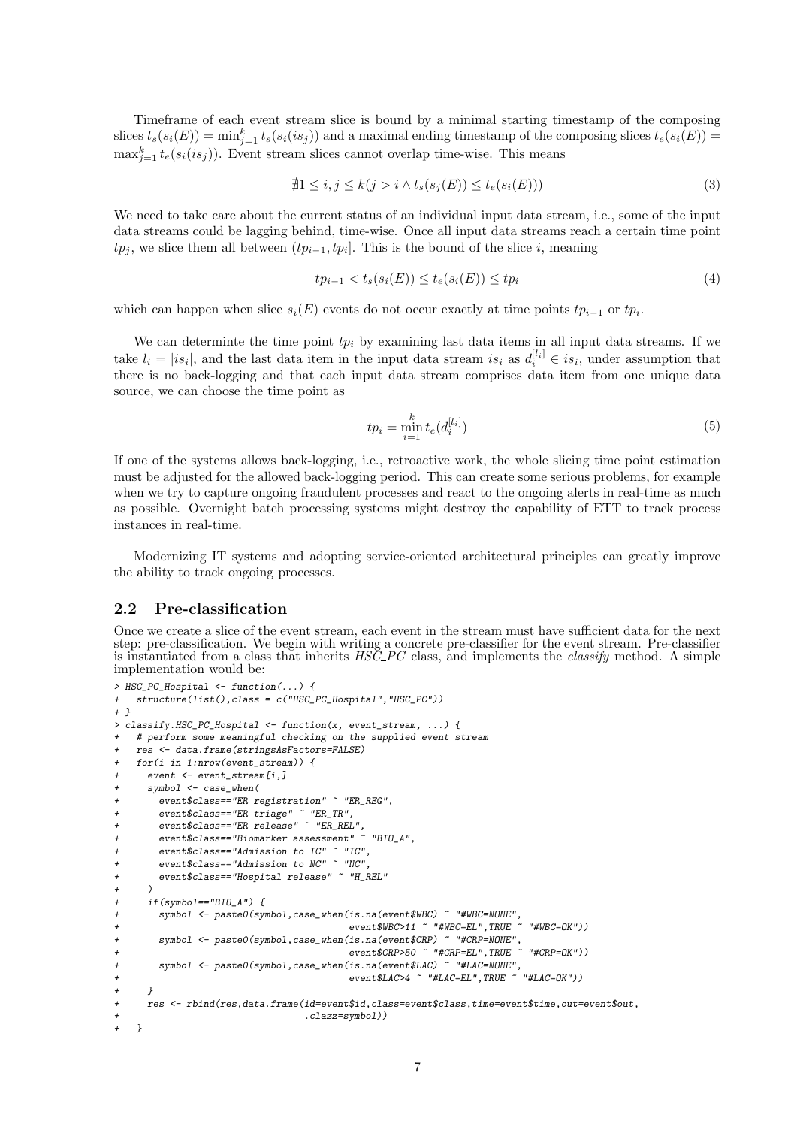Timeframe of each event stream slice is bound by a minimal starting timestamp of the composing slices  $t_s(s_i(E)) = \min_{j=1}^k t_s(s_i(is_j))$  and a maximal ending timestamp of the composing slices  $t_e(s_i(E)) =$  $\max_{j=1}^{k} t_e(s_i(is_j)).$  Event stream slices cannot overlap time-wise. This means

$$
\nexists 1 \le i, j \le k(j > i \land t_s(s_j(E)) \le t_e(s_i(E)))\n\tag{3}
$$

We need to take care about the current status of an individual input data stream, i.e., some of the input data streams could be lagging behind, time-wise. Once all input data streams reach a certain time point  $tp_j$ , we slice them all between  $(tp_{i-1}, tp_i]$ . This is the bound of the slice i, meaning

$$
tp_{i-1} < t_s(s_i(E)) \le t_e(s_i(E)) \le tp_i \tag{4}
$$

which can happen when slice  $s_i(E)$  events do not occur exactly at time points  $tp_{i-1}$  or  $tp_i$ .

We can determinte the time point  $tp_i$  by examining last data items in all input data streams. If we take  $l_i = |is_i|$ , and the last data item in the input data stream is<sub>i</sub> as  $d_i^{[l_i]} \in is_i$ , under assumption that there is no back-logging and that each input data stream comprises data item from one unique data source, we can choose the time point as

$$
tp_i = \min_{i=1}^k t_e(d_i^{[l_i]})
$$
\n(5)

If one of the systems allows back-logging, i.e., retroactive work, the whole slicing time point estimation must be adjusted for the allowed back-logging period. This can create some serious problems, for example when we try to capture ongoing fraudulent processes and react to the ongoing alerts in real-time as much as possible. Overnight batch processing systems might destroy the capability of ETT to track process instances in real-time.

Modernizing IT systems and adopting service-oriented architectural principles can greatly improve the ability to track ongoing processes.

#### 2.2 Pre-classification

Once we create a slice of the event stream, each event in the stream must have sufficient data for the next step: pre-classification. We begin with writing a concrete pre-classifier for the event stream. Pre-classifier is instantiated from a class that inherits  $HS\ddot{C}$ -PC class, and implements the *classify* method. A simple implementation would be:

```
> HSC_PC_Hospital <- function(...) {
+ structure(list(),class = c("HSC_PC_Hospital","HSC_PC"))
+ }
> classify.HSC_PC_Hospital \leq function(x, event_stream, ...) {<br>+ # perform some meaningful checking on the supplied event s
    + # perform some meaningful checking on the supplied event stream
    + res <- data.frame(stringsAsFactors=FALSE)
    for(i in 1: nrow(event\_stream)) {
      event \leq event stream[i,]
      symbol1 <- case_when(
        + event$class=="ER registration" ~ "ER_REG",
        event\{s}class=="ER \;triangle" "ER\_TR",
        + event$class=="ER release" ~ "ER_REL",
        + event$class=="Biomarker assessment" ~ "BIO_A",
+ event$class=="Admission to IC" ~ "IC",
+ event$class=="Admission to NC" ~ "NC",
+ event$class=="Hospital release" ~ "H_REL"
+ )<br>+ i+ if(symbol=="BIO_A") {<br>+ symbol <- paste0(sym
        symbol <- paste0(symbol,case_when(is.na(event$WBC) ~ "#WBC=NONE",
+<br>event$WBC>11 ~ "#WBC=EL",TRUE ~ "#WBC=OK")<br>event$NBC>11 ~ "#WBC=EL",TRUE ~ "#WBC=OK"))<br>event$NBCXP} ~ "#CRP=NONE".
+ symbol <- paste0(symbol,case_when(is.na(event$CRP) ~ "#CRP=NONE",
+ event$CRP>50 ~ "#CRP=EL",TRUE ~ "#CRP=OK"))
+ symbol <- paste0(symbol,case_when(is.na(event$LAC) ~ "#LAC=NONE",
                                             event$LAC>4 ~ "#LAC=EL", TRUE ~ "#LAC=OK"))
      + }
+ res <- rbind(res,data.frame(id=event$id,class=event$class,time=event$time,out=event$out,
                                    .clazz=symbol))
+ }
```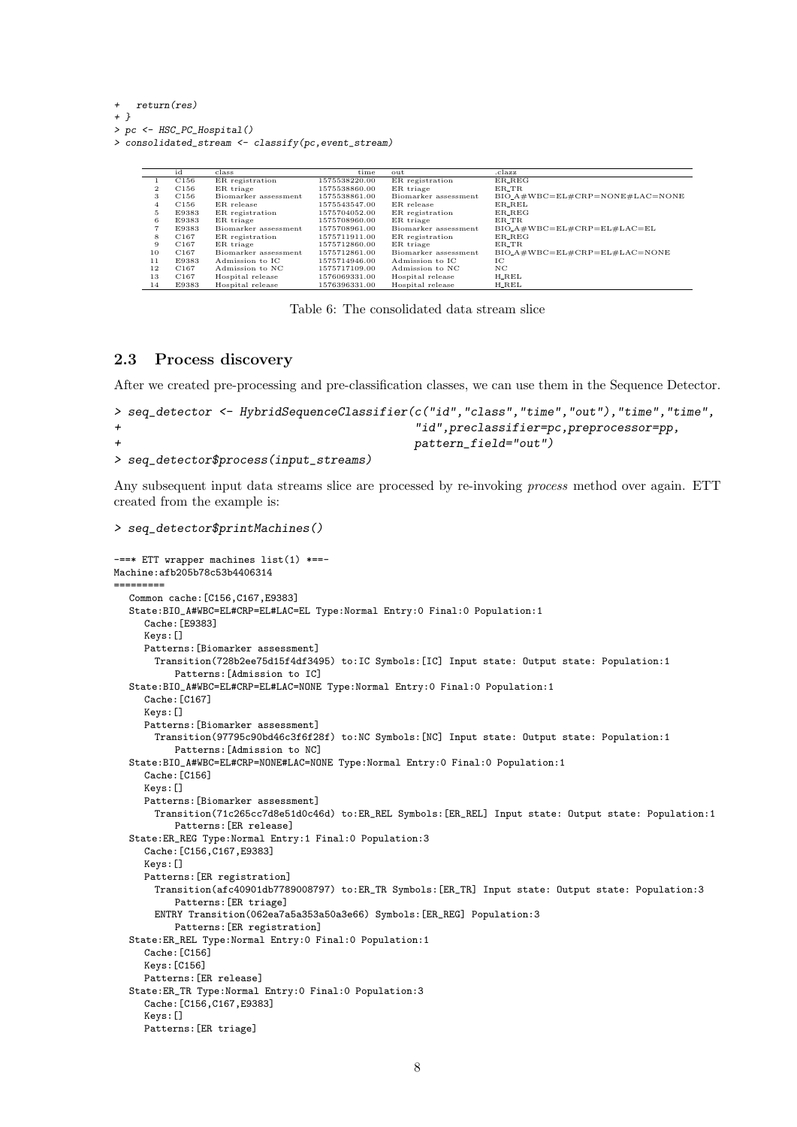```
+ return(res)
```

```
+ }
```

```
> pc <- HSC_PC_Hospital()
```

```
> consolidated_stream <- classify(pc,event_stream)
```

|    | id               | class                | time          | out                  | .clazz                           |
|----|------------------|----------------------|---------------|----------------------|----------------------------------|
|    | C <sub>156</sub> | ER registration      | 1575538220.00 | ER registration      | ER_REG                           |
| 2  | C <sub>156</sub> | ER triage            | 1575538860.00 | ER triage            | ER_TR                            |
| 3  | C <sub>156</sub> | Biomarker assessment | 1575538861.00 | Biomarker assessment | $BIO.A#WBC=EL#CRP=NONE#LAC=NONE$ |
| 4  | C <sub>156</sub> | ER release           | 1575543547.00 | ER release           | ER_REL                           |
| 5  | E9383            | ER registration      | 1575704052.00 | ER registration      | ER_REG                           |
| 6  | E9383            | ER triage            | 1575708960.00 | ER triage            | ER_TR                            |
|    | E9383            | Biomarker assessment | 1575708961.00 | Biomarker assessment | $BIO_A#WBC=EL#CRP=EL#LAC=EL$     |
| 8  | C <sub>167</sub> | ER registration      | 1575711911.00 | ER registration      | ER REG                           |
| 9  | C <sub>167</sub> | ER triage            | 1575712860.00 | ER triage            | ER_TR                            |
| 10 | C <sub>167</sub> | Biomarker assessment | 1575712861.00 | Biomarker assessment | $BIO.A#WBC=EL#CRP=EL#LAC=NONE$   |
| 11 | E9383            | Admission to IC      | 1575714946.00 | Admission to IC      | IC                               |
| 12 | C <sub>167</sub> | Admission to NC      | 1575717109.00 | Admission to NC      | NC                               |
| 13 | C <sub>167</sub> | Hospital release     | 1576069331.00 | Hospital release     | $H$ <sub>-REL</sub>              |
| 14 | E9383            | Hospital release     | 1576396331.00 | Hospital release     | $H$ <sub>-REL</sub>              |

Table 6: The consolidated data stream slice

### 2.3 Process discovery

After we created pre-processing and pre-classification classes, we can use them in the Sequence Detector.

```
> seq_detector <- HybridSequenceClassifier(c("id","class","time","out"),"time","time",
+ "id",preclassifier=pc,preprocessor=pp,
+ pattern_field="out")
> seq_detector$process(input_streams)
```
Any subsequent input data streams slice are processed by re-invoking *process* method over again. ETT created from the example is:

```
> seq_detector$printMachines()
```

```
-==* ETT wrapper machines list(1) *==-
Machine:afb205b78c53b4406314
=========
  Common cache:[C156,C167,E9383]
  State:BIO_A#WBC=EL#CRP=EL#LAC=EL Type:Normal Entry:0 Final:0 Population:1
     Cache:[E9383]
     Keys:[]
     Patterns:[Biomarker assessment]
       Transition(728b2ee75d15f4df3495) to:IC Symbols:[IC] Input state: Output state: Population:1
          Patterns:[Admission to IC]
  State:BIO_A#WBC=EL#CRP=EL#LAC=NONE Type:Normal Entry:0 Final:0 Population:1
     Cache:[C167]
     Keys:[]
     Patterns:[Biomarker assessment]
       Transition(97795c90bd46c3f6f28f) to:NC Symbols:[NC] Input state: Output state: Population:1
          Patterns:[Admission to NC]
  State:BIO_A#WBC=EL#CRP=NONE#LAC=NONE Type:Normal Entry:0 Final:0 Population:1
     Cache: [C156]
     Keys:[]
     Patterns:[Biomarker assessment]
       Transition(71c265cc7d8e51d0c46d) to:ER_REL Symbols:[ER_REL] Input state: Output state: Population:1
          Patterns:[ER release]
  State:ER_REG Type:Normal Entry:1 Final:0 Population:3
     Cache:[C156,C167,E9383]
     Keys:[]
     Patterns:[ER registration]
       Transition(afc40901db7789008797) to:ER_TR Symbols:[ER_TR] Input state: Output state: Population:3
          Patterns:[ER triage]
       ENTRY Transition(062ea7a5a353a50a3e66) Symbols:[ER_REG] Population:3
          Patterns:[ER registration]
  State:ER_REL Type:Normal Entry:0 Final:0 Population:1
     Cache: [C156]
     Keys:[C156]
     Patterns:[ER release]
  State:ER_TR Type:Normal Entry:0 Final:0 Population:3
     Cache:[C156,C167,E9383]
     Keys:[]
     Patterns:[ER triage]
```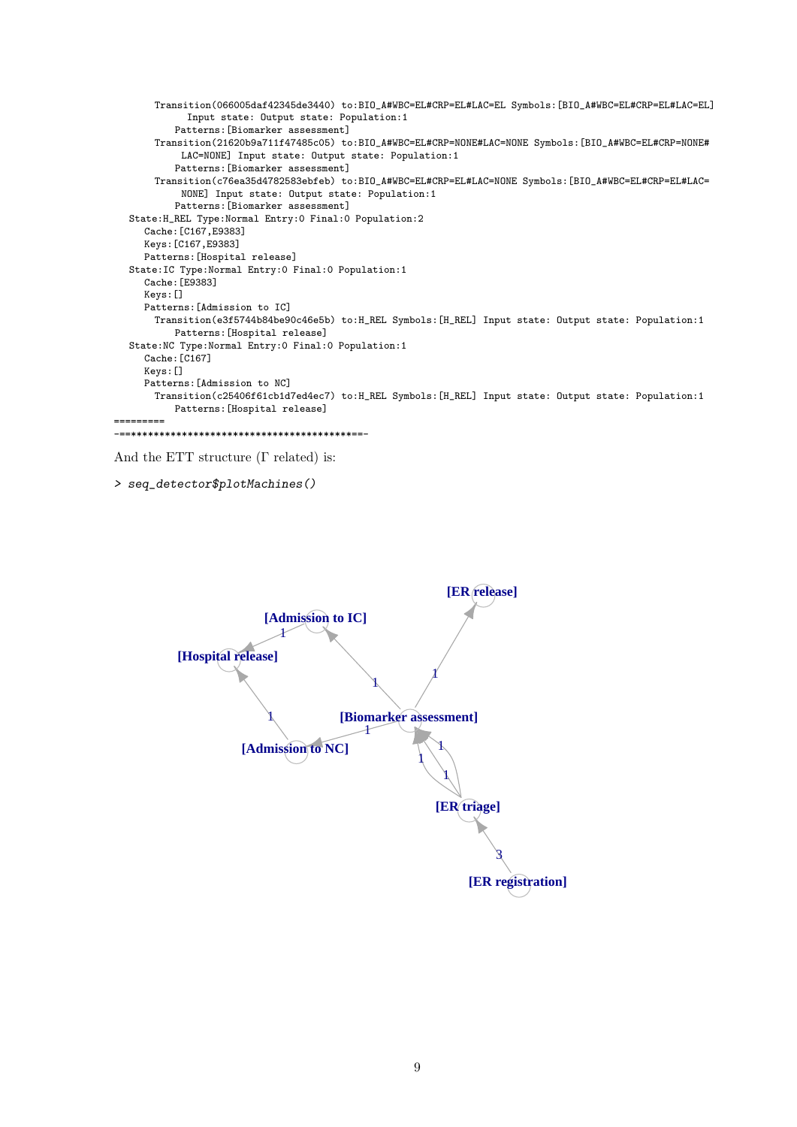```
Transition(066005daf42345de3440) to:BIO_A#WBC=EL#CRP=EL#LAC=EL Symbols:[BIO_A#WBC=EL#CRP=EL#LAC=EL]
            Input state: Output state: Population:1
          Patterns:[Biomarker assessment]
      Transition(21620b9a711f47485c05) to:BIO_A#WBC=EL#CRP=NONE#LAC=NONE Symbols:[BIO_A#WBC=EL#CRP=NONE#
           LAC=NONE] Input state: Output state: Population:1
          Patterns:[Biomarker assessment]
      Transition(c76ea35d4782583ebfeb) to:BIO_A#WBC=EL#CRP=EL#LAC=NONE Symbols:[BIO_A#WBC=EL#CRP=EL#LAC=
           NONE] Input state: Output state: Population:1
          Patterns:[Biomarker assessment]
  State:H_REL Type:Normal Entry:0 Final:0 Population:2
     Cache:[C167,E9383]
     Keys:[C167,E9383]
     Patterns:[Hospital release]
  State:IC Type:Normal Entry:0 Final:0 Population:1
     Cache:[E9383]
     Keys:[]
     Patterns:[Admission to IC]
      Transition(e3f5744b84be90c46e5b) to:H_REL Symbols:[H_REL] Input state: Output state: Population:1
          Patterns:[Hospital release]
  State:NC Type:Normal Entry:0 Final:0 Population:1
     Cache:[C167]
     Keys:[]
     Patterns:[Admission to NC]
      Transition(c25406f61cb1d7ed4ec7) to:H_REL Symbols:[H_REL] Input state: Output state: Population:1
          Patterns:[Hospital release]
=========
```

```
-==***************************************==-
```

```
And the ETT structure (Γ related) is:
```

```
> seq_detector$plotMachines()
```
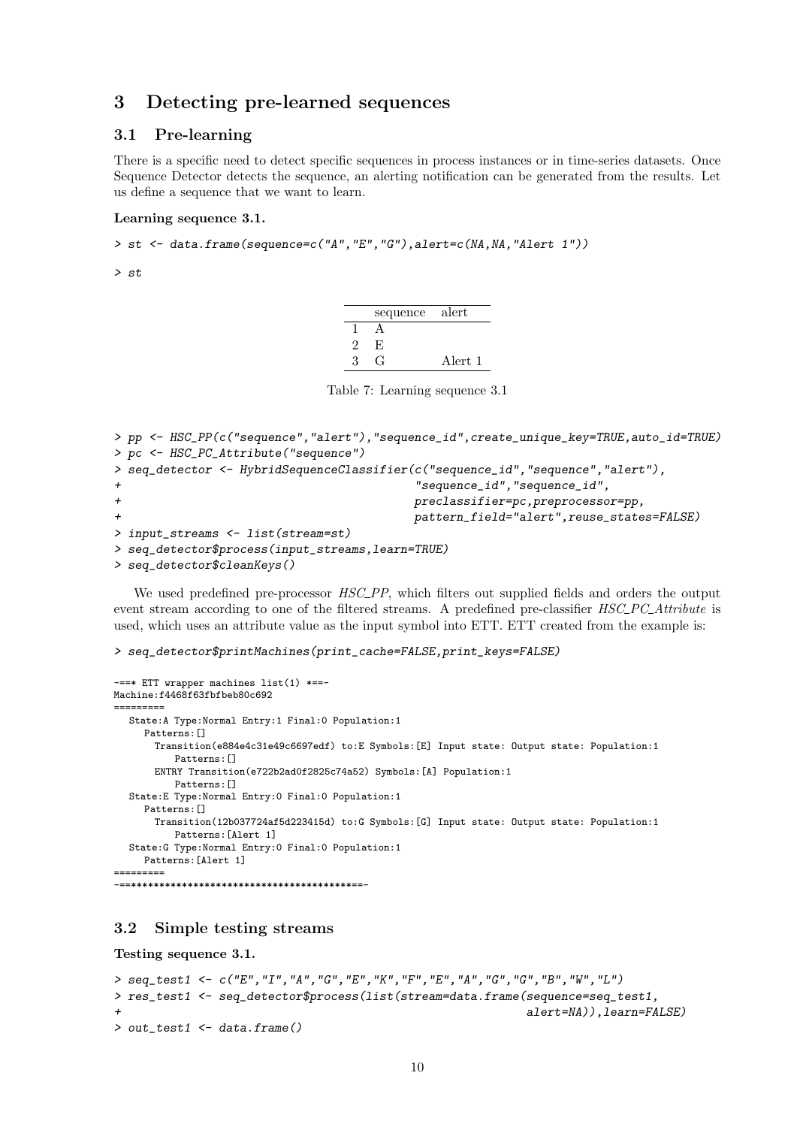### 3 Detecting pre-learned sequences

#### 3.1 Pre-learning

There is a specific need to detect specific sequences in process instances or in time-series datasets. Once Sequence Detector detects the sequence, an alerting notification can be generated from the results. Let us define a sequence that we want to learn.

#### Learning sequence 3.1.

 $> st$  <- data.frame(sequence=c("A", "E", "G"), alert=c(NA, NA, "Alert 1"))

> st

| sequence | alert   |
|----------|---------|
|          |         |
| F.,      |         |
|          | Alert 1 |

Table 7: Learning sequence 3.1

```
> pp <- HSC_PP(c("sequence","alert"),"sequence_id",create_unique_key=TRUE,auto_id=TRUE)
> pc <- HSC_PC_Attribute("sequence")
> seq_detector <- HybridSequenceClassifier(c("sequence_id","sequence","alert"),
                                    + "sequence_id","sequence_id",
+ preclassifier=pc,preprocessor=pp,
+ pattern_field="alert",reuse_states=FALSE)
> input_streams <- list(stream=st)
> seq_detector$process(input_streams,learn=TRUE)
```

```
> seq_detector$cleanKeys()
```
We used predefined pre-processor  $HSC_-PP$ , which filters out supplied fields and orders the output event stream according to one of the filtered streams. A predefined pre-classifier HSC\_PC\_Attribute is used, which uses an attribute value as the input symbol into ETT. ETT created from the example is:

```
> seq_detector$printMachines(print_cache=FALSE,print_keys=FALSE)
```

```
-==* ETT wrapper machines list(1) *==-
Machine:f4468f63fbfbeb80c692
=========
  State:A Type:Normal Entry:1 Final:0 Population:1
     Patterns: []
       Transition(e884e4c31e49c6697edf) to:E Symbols:[E] Input state: Output state: Population:1
           Patterns:[]
       ENTRY Transition(e722b2ad0f2825c74a52) Symbols:[A] Population:1
          Patterns:[]
  State:E Type:Normal Entry:0 Final:0 Population:1
     Patterns: []
       Transition(12b037724af5d223415d) to:G Symbols:[G] Input state: Output state: Population:1
           Patterns:[Alert 1]
  State:G Type:Normal Entry:0 Final:0 Population:1
     Patterns: [Alert 1]
    =========
-==***************************************==-
```
#### 3.2 Simple testing streams

Testing sequence 3.1.

```
> seq_test1 <- c("E","I","A","G","E","K","F","E","A","G","G","B","W","L")
> res_test1 <- seq_detector$process(list(stream=data.frame(sequence=seq_test1,
                                                            alert=NA)),learn=FALSE)
> out_test1 <- data.frame()
```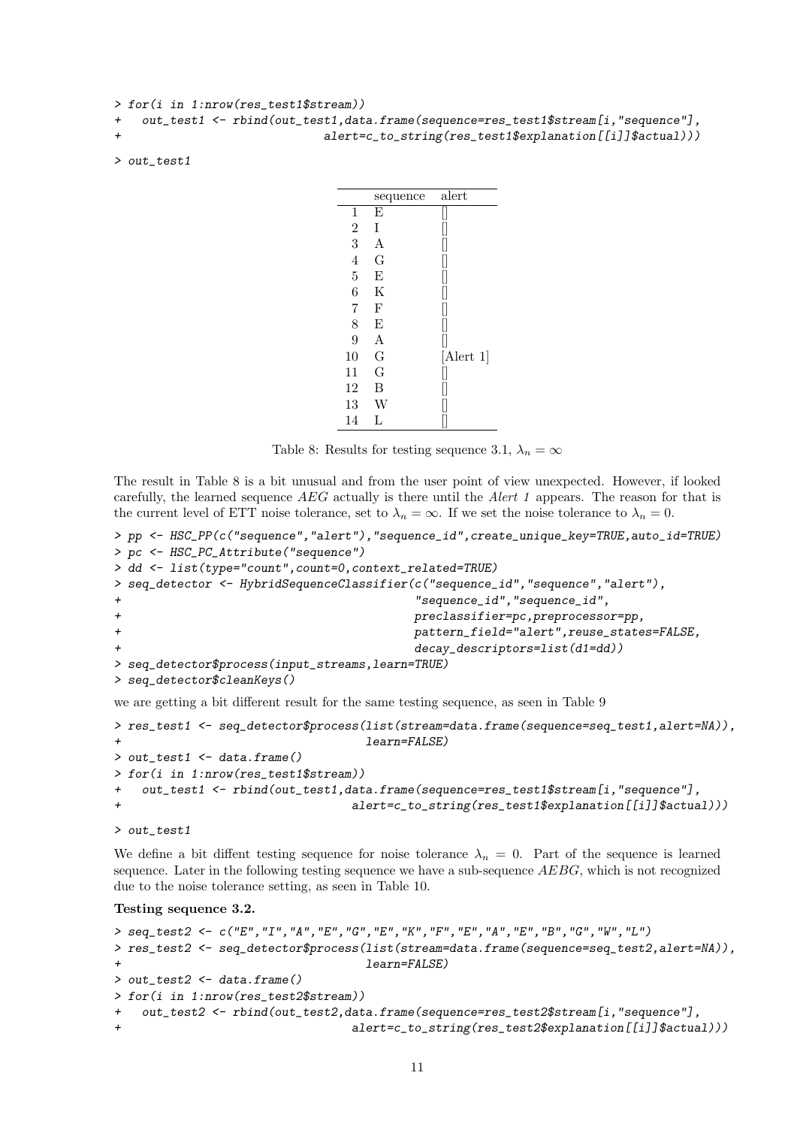```
> for(i in 1:nrow(res_test1$stream))
+ out_test1 <- rbind(out_test1,data.frame(sequence=res_test1$stream[i,"sequence"],
+ alert=c_to_string(res_test1$explanation[[i]]$actual)))
```

```
> out_test1
```

|                | sequence | alert           |
|----------------|----------|-----------------|
| 1              | E        |                 |
| $\overline{2}$ | T        |                 |
| 3              | Α        |                 |
| $\overline{4}$ | G        |                 |
| 5              | E        |                 |
| 6              | K        |                 |
| 7              | F        |                 |
| 8              | E        |                 |
| 9              | A        |                 |
| 10             | G        | $[$ Alert 1 $]$ |
| 11             | G        |                 |
| 12             | B        |                 |
| 13             | W        |                 |
| 14             | T.       |                 |

Table 8: Results for testing sequence 3.1,  $\lambda_n = \infty$ 

The result in Table 8 is a bit unusual and from the user point of view unexpected. However, if looked carefully, the learned sequence AEG actually is there until the Alert 1 appears. The reason for that is the current level of ETT noise tolerance, set to  $\lambda_n = \infty$ . If we set the noise tolerance to  $\lambda_n = 0$ .

```
> pp <- HSC_PP(c("sequence","alert"),"sequence_id",create_unique_key=TRUE,auto_id=TRUE)
> pc <- HSC_PC_Attribute("sequence")
> dd <- list(type="count",count=0,context_related=TRUE)
> seq_detector <- HybridSequenceClassifier(c("sequence_id","sequence","alert"),
                                  + "sequence_id","sequence_id",
+ preclassifier=pc,preprocessor=pp,
+ pattern_field="alert",reuse_states=FALSE,
+ decay_descriptors=list(d1=dd))
> seq_detector$process(input_streams,learn=TRUE)
> seq_detector$cleanKeys()
```
we are getting a bit different result for the same testing sequence, as seen in Table 9

```
> res_test1 <- seq_detector$process(list(stream=data.frame(sequence=seq_test1,alert=NA)),
                                learn = FALSE)> out_test1 <- data.frame()
> for(i in 1:nrow(res_test1$stream))
+ out_test1 <- rbind(out_test1,data.frame(sequence=res_test1$stream[i,"sequence"],
+ alert=c_to_string(res_test1$explanation[[i]]$actual)))
```

```
> out_test1
```
We define a bit diffent testing sequence for noise tolerance  $\lambda_n = 0$ . Part of the sequence is learned sequence. Later in the following testing sequence we have a sub-sequence  $AEBG$ , which is not recognized due to the noise tolerance setting, as seen in Table 10.

#### Testing sequence 3.2.

```
> seq_test2 <- c("E","I","A","E","G","E","K","F","E","A","E","B","G","W","L")
> res_test2 <- seq_detector$process(list(stream=data.frame(sequence=seq_test2,alert=NA)),
+ learn=FALSE)
> out_test2 <- data.frame()
> for(i in 1:nrow(res_test2$stream))
+ out_test2 <- rbind(out_test2,data.frame(sequence=res_test2$stream[i,"sequence"],
                               alert=c_to_string(res_test2$explanation[[i]]$actual)))
```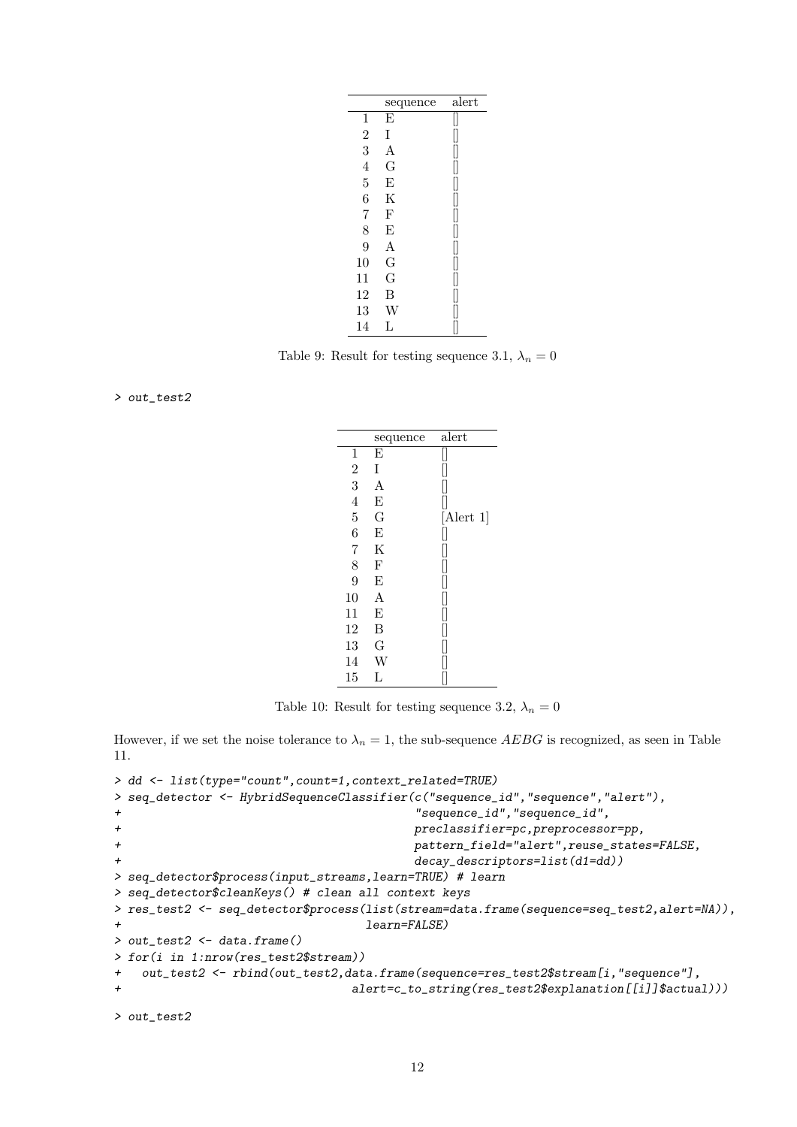|                | sequence | alert |
|----------------|----------|-------|
| 1              | E        |       |
| $\overline{2}$ | Ι        |       |
| 3              | А        |       |
| $\overline{4}$ | G        |       |
| $\overline{5}$ | E        |       |
| 6              | Κ        |       |
| $\overline{7}$ | F        |       |
| 8              | E        | I     |
| 9              | А        |       |
| 10             | G        | I     |
| 11             | G        |       |
| 12             | В        |       |
| 13             | W        |       |
| 14             | L        |       |

Table 9: Result for testing sequence 3.1,  $\lambda_n = 0$ 

> out\_test2

|                | sequence | alert           |
|----------------|----------|-----------------|
| 1              | E        |                 |
| $\overline{2}$ | Ι        |                 |
| 3              | Α        |                 |
| 4              | E        |                 |
| $\overline{5}$ | G        | $[$ Alert 1 $]$ |
| 6              | E        |                 |
| $\overline{7}$ | Κ        |                 |
| 8              | F        |                 |
| 9              | E        |                 |
| 10             | А        |                 |
| 11             | E        |                 |
| 12             | В        |                 |
| 13             | G        |                 |
| 14             | W        |                 |
| 15             | L        |                 |

Table 10: Result for testing sequence 3.2,  $\lambda_n = 0$ 

However, if we set the noise tolerance to  $\lambda_n = 1$ , the sub-sequence AEBG is recognized, as seen in Table 11.

```
> dd <- list(type="count",count=1,context_related=TRUE)
> seq_detector <- HybridSequenceClassifier(c("sequence_id","sequence","alert"),
+ "sequence_id","sequence_id",
+ preclassifier=pc,preprocessor=pp,
+ pattern_field="alert",reuse_states=FALSE,
+ decay_descriptors=list(d1=dd))
> seq_detector$process(input_streams,learn=TRUE) # learn
> seq_detector$cleanKeys() # clean all context keys
> res_test2 <- seq_detector$process(list(stream=data.frame(sequence=seq_test2,alert=NA)),
                            learn=FALSE)
> out_test2 <- data.frame()
> for(i in 1:nrow(res_test2$stream))
+ out_test2 <- rbind(out_test2,data.frame(sequence=res_test2$stream[i,"sequence"],
+ alert=c_to_string(res_test2$explanation[[i]]$actual)))
```

```
> out_test2
```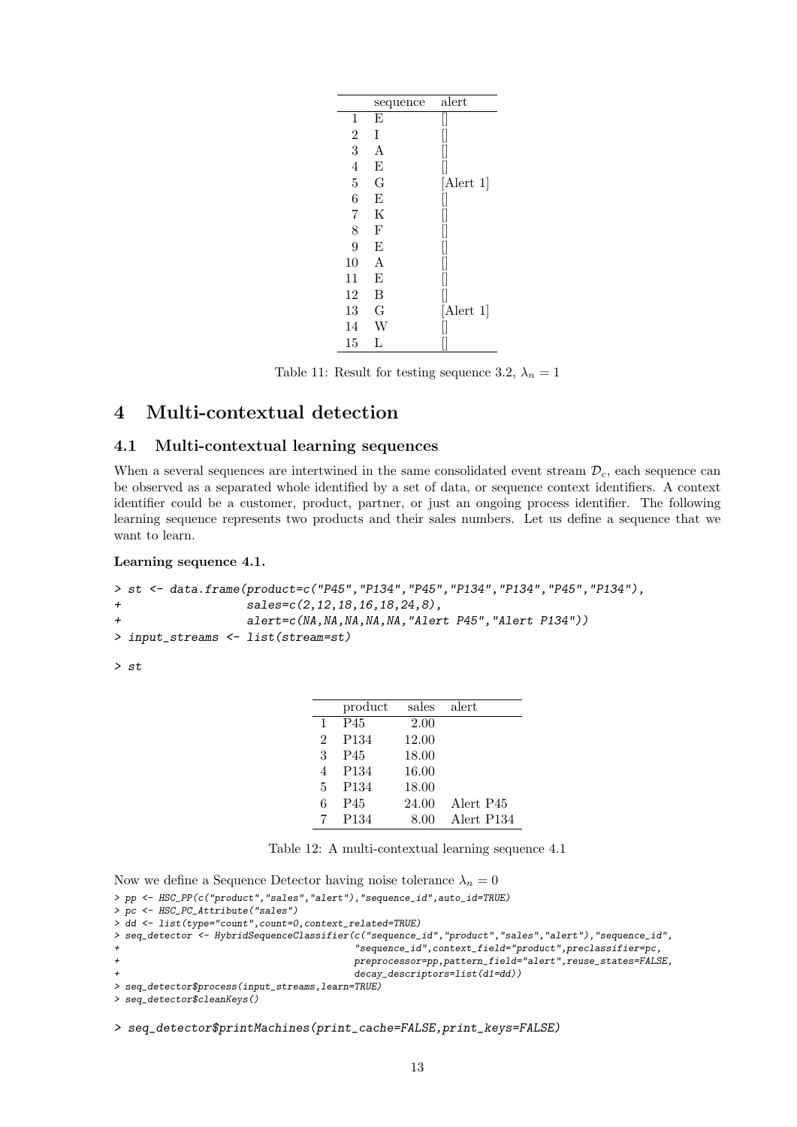|                | sequence | alert           |
|----------------|----------|-----------------|
| 1              | E        |                 |
| $\overline{2}$ | Ι        |                 |
| 3              | A        |                 |
| $\overline{4}$ | Ε        |                 |
| 5              | G        | $[$ Alert 1 $]$ |
| $\overline{6}$ | E        |                 |
| 7              | Κ        |                 |
| 8              | F        |                 |
| 9              | E        |                 |
| 10             | A        |                 |
| 11             | E        |                 |
| 12             | В        |                 |
| 13             | G        | $[$ Alert 1 $]$ |
| 14             | W        |                 |
| 15             | L        |                 |

Table 11: Result for testing sequence 3.2,  $\lambda_n = 1$ 

### 4 Multi-contextual detection

#### 4.1 Multi-contextual learning sequences

When a several sequences are intertwined in the same consolidated event stream  $\mathcal{D}_c$ , each sequence can be observed as a separated whole identified by a set of data, or sequence context identifiers. A context identifier could be a customer, product, partner, or just an ongoing process identifier. The following learning sequence represents two products and their sales numbers. Let us define a sequence that we want to learn.

Learning sequence 4.1.

```
> st <- data.frame(product=c("P45","P134","P45","P134","P134","P45","P134"),
+ sales=c(2,12,18,16,18,24,8),
+ alert=c(NA,NA,NA,NA,NA,"Alert P45","Alert P134"))
> input_streams <- list(stream=st)
```
> st

|              | product          | sales | alert      |
|--------------|------------------|-------|------------|
| $\mathbf{1}$ | P45              | 2.00  |            |
| 2            | P <sub>134</sub> | 12.00 |            |
| 3            | P45              | 18.00 |            |
| 4            | P <sub>134</sub> | 16.00 |            |
| 5            | P <sub>134</sub> | 18.00 |            |
| 6            | P45              | 24.00 | Alert P45  |
|              | P <sub>134</sub> | 8.00  | Alert P134 |

Table 12: A multi-contextual learning sequence 4.1

Now we define a Sequence Detector having noise tolerance  $\lambda_n = 0$ 

```
> pp <- HSC_PP(c("product","sales","alert"),"sequence_id",auto_id=TRUE)
> pc <- HSC_PC_Attribute("sales")
> dd <- list(type="count",count=0,context_related=TRUE)
> seq_detector <- HybridSequenceClassifier(c("sequence_id","product","sales","alert"),"sequence_id",
                                            + "sequence_id",context_field="product",preclassifier=pc,
                                            + preprocessor=pp,pattern_field="alert",reuse_states=FALSE,
                                            decay_descriptors=list(d1=dd))
> seq_detector$process(input_streams,learn=TRUE)
> seq_detector$cleanKeys()
```
> seq\_detector\$printMachines(print\_cache=FALSE,print\_keys=FALSE)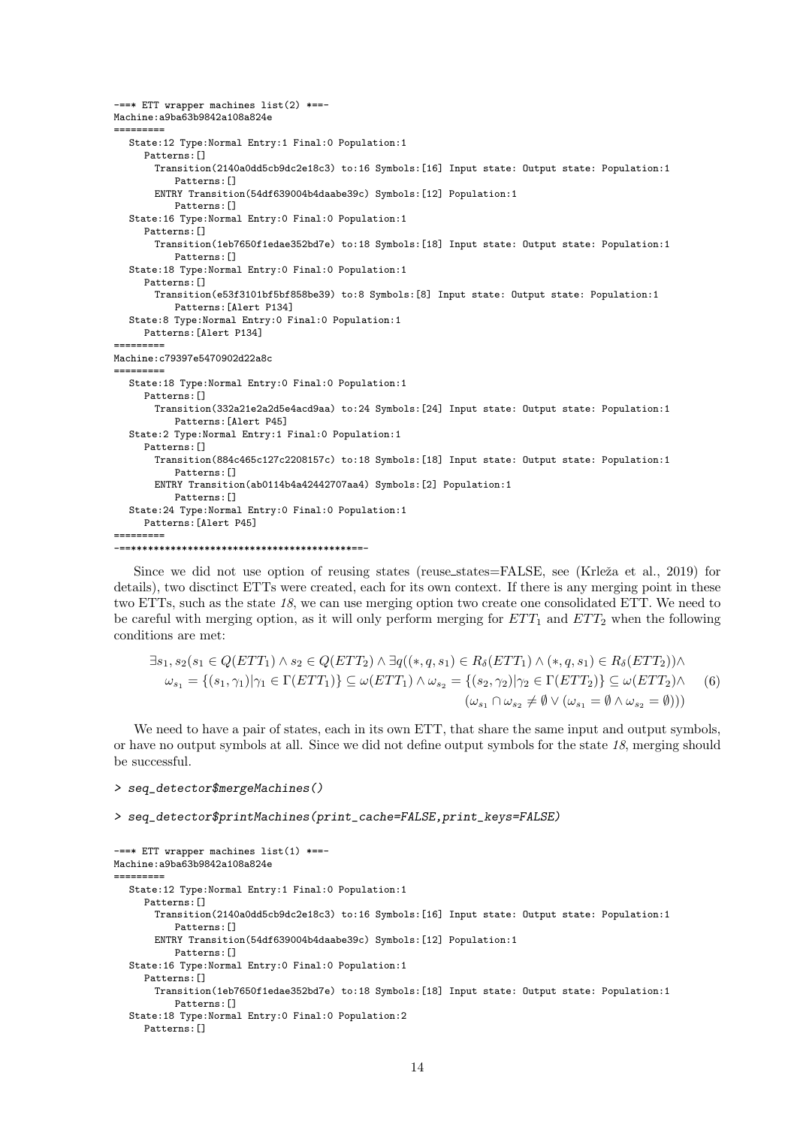```
-==* ETT wrapper machines list(2) *==-
Machine:a9ba63b9842a108a824e
=========
  State:12 Type:Normal Entry:1 Final:0 Population:1
     Patterns:[]
       Transition(2140a0dd5cb9dc2e18c3) to:16 Symbols:[16] Input state: Output state: Population:1
          Patterns: []
       ENTRY Transition(54df639004b4daabe39c) Symbols:[12] Population:1
          Patterns: []
  State:16 Type:Normal Entry:0 Final:0 Population:1
     Patterns:[]
       Transition(1eb7650f1edae352bd7e) to:18 Symbols:[18] Input state: Output state: Population:1
          Patterns: []
  State:18 Type:Normal Entry:0 Final:0 Population:1
     Patterns:[]
       Transition(e53f3101bf5bf858be39) to:8 Symbols:[8] Input state: Output state: Population:1
           Patterns:[Alert P134]
  State:8 Type:Normal Entry:0 Final:0 Population:1
     Patterns:[Alert P134]
=========
Machine:c79397e5470902d22a8c
=========
  State:18 Type:Normal Entry:0 Final:0 Population:1
     Patterns:[]
       Transition(332a21e2a2d5e4acd9aa) to:24 Symbols:[24] Input state: Output state: Population:1
          Patterns:[Alert P45]
  State:2 Type:Normal Entry:1 Final:0 Population:1
     Patterns: []
       Transition(884c465c127c2208157c) to:18 Symbols:[18] Input state: Output state: Population:1
           Patterns: []
       ENTRY Transition(ab0114b4a42442707aa4) Symbols:[2] Population:1
          Patterns: []
  State:24 Type:Normal Entry:0 Final:0 Population:1
    Patterns: [Alert P45]
=========
-==***************************************==-
```
Since we did not use option of reusing states (reuse\_states=FALSE, see (Krleža et al., 2019) for details), two disctinct ETTs were created, each for its own context. If there is any merging point in these two ETTs, such as the state 18, we can use merging option two create one consolidated ETT. We need to be careful with merging option, as it will only perform merging for  $ETT_1$  and  $ETT_2$  when the following conditions are met:

$$
\exists s_1, s_2(s_1 \in Q(ETT_1) \land s_2 \in Q(ETT_2) \land \exists q((*,q,s_1) \in R_\delta(ETT_1) \land (*,q,s_1) \in R_\delta(ETT_2)) \land \omega_{s_1} = \{(s_1, \gamma_1) | \gamma_1 \in \Gamma(ETT_1)\} \subseteq \omega(ETT_1) \land \omega_{s_2} = \{(s_2, \gamma_2) | \gamma_2 \in \Gamma(ETT_2)\} \subseteq \omega(ETT_2) \land \omega_{s_1} = \emptyset \land \omega_{s_2} = \emptyset)))
$$
\n
$$
(\omega_{s_1} \cap \omega_{s_2} \neq \emptyset \lor (\omega_{s_1} = \emptyset \land \omega_{s_2} = \emptyset)))
$$

We need to have a pair of states, each in its own ETT, that share the same input and output symbols, or have no output symbols at all. Since we did not define output symbols for the state 18, merging should be successful.

> seq\_detector\$mergeMachines()

#### > seq\_detector\$printMachines(print\_cache=FALSE,print\_keys=FALSE)

```
-==* ETT wrapper machines list(1) *==-
Machine:a9ba63b9842a108a824e
=========
  State:12 Type:Normal Entry:1 Final:0 Population:1
     Patterns: []
       Transition(2140a0dd5cb9dc2e18c3) to:16 Symbols:[16] Input state: Output state: Population:1
           Patterns: []
       ENTRY Transition(54df639004b4daabe39c) Symbols:[12] Population:1
           Patterns: []
  State:16 Type:Normal Entry:0 Final:0 Population:1
     Patterns:[]
       Transition(1eb7650f1edae352bd7e) to:18 Symbols:[18] Input state: Output state: Population:1
          Patterns:[]
  State:18 Type:Normal Entry:0 Final:0 Population:2
     Patterns:[]
```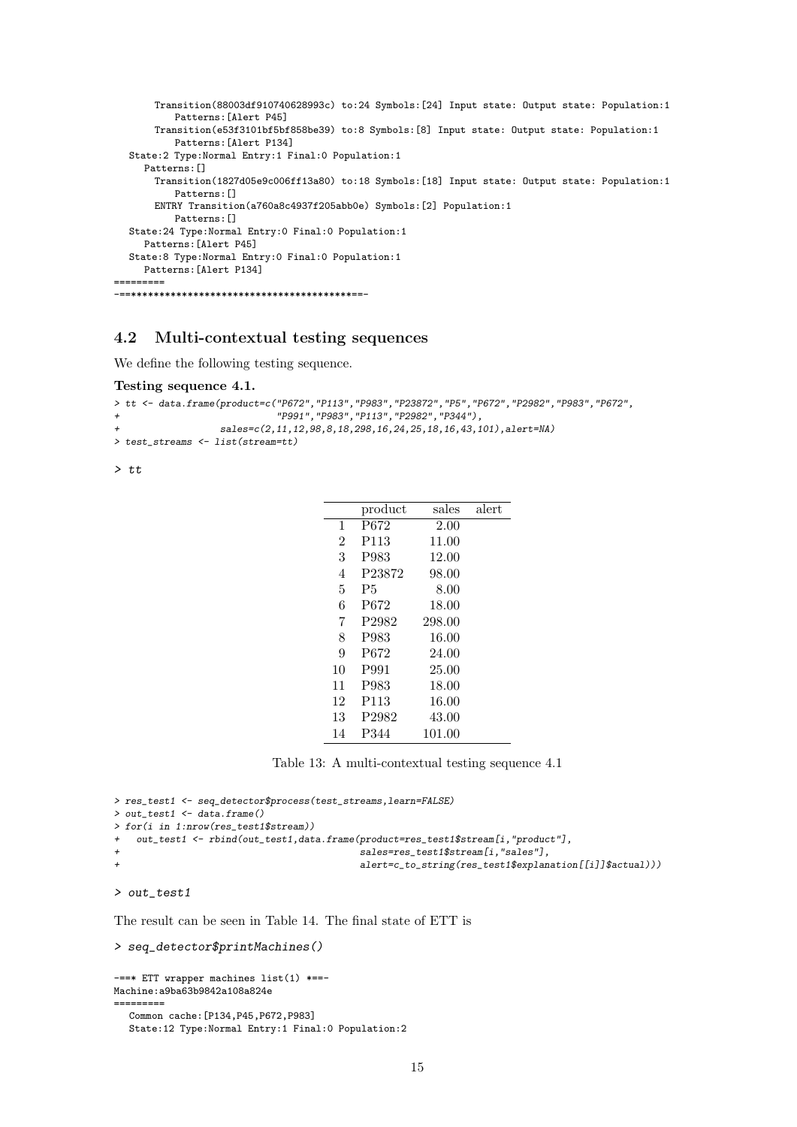```
Transition(88003df910740628993c) to:24 Symbols:[24] Input state: Output state: Population:1
          Patterns:[Alert P45]
       Transition(e53f3101bf5bf858be39) to:8 Symbols:[8] Input state: Output state: Population:1
          Patterns:[Alert P134]
  State:2 Type:Normal Entry:1 Final:0 Population:1
     Patterns:[]
       Transition(1827d05e9c006ff13a80) to:18 Symbols:[18] Input state: Output state: Population:1
          Patterns:[]
       ENTRY Transition(a760a8c4937f205abb0e) Symbols:[2] Population:1
          Patterns:[]
  State:24 Type:Normal Entry:0 Final:0 Population:1
    Patterns:[Alert P45]
  State:8 Type:Normal Entry:0 Final:0 Population:1
    Patterns:[Alert P134]
    =========
-==***************************************==-
```
#### 4.2 Multi-contextual testing sequences

We define the following testing sequence.

#### Testing sequence 4.1.

```
> tt <- data.frame(product=c("P672","P113","P983","P23872","P5","P672","P2982","P983","P672",
+ "P991","P983","P113","P2982","P344"),
                 sales=c(2,11,12,98,8,18,298,16,24,25,18,16,43,101),alert=NA)
> test_streams <- list(stream=tt)
```
> tt

|                | product           | sales  | alert |
|----------------|-------------------|--------|-------|
| 1              | P672              | 2.00   |       |
| $\overline{2}$ | P <sub>113</sub>  | 11.00  |       |
| 3              | P983              | 12.00  |       |
| 4              | P23872            | 98.00  |       |
| 5              | P5                | 8.00   |       |
| 6              | P672              | 18.00  |       |
| 7              | P <sub>2982</sub> | 298.00 |       |
| 8              | P983              | 16.00  |       |
| 9              | P672              | 24.00  |       |
| 10             | P991              | 25.00  |       |
| 11             | P983              | 18.00  |       |
| 12             | P113              | 16.00  |       |
| 13             | P <sub>2982</sub> | 43.00  |       |
| 14             | P344              | 101.00 |       |

Table 13: A multi-contextual testing sequence 4.1

```
> res_test1 <- seq_detector$process(test_streams,learn=FALSE)
> out_test1 <- data.frame()
> for(i in 1:nrow(res_test1$stream))
+ out_test1 <- rbind(out_test1,data.frame(product=res_test1$stream[i,"product"],
                                            sales=res_test1$stream[i,"sales"],
                                            alert=c_to_string(res_test1$explanation[[i]]$actual)))
```
> out\_test1

The result can be seen in Table 14. The final state of ETT is

```
> seq_detector$printMachines()
```

```
-==* ETT wrapper machines list(1) *==-
Machine:a9ba63b9842a108a824e
=========
  Common cache:[P134,P45,P672,P983]
  State:12 Type:Normal Entry:1 Final:0 Population:2
```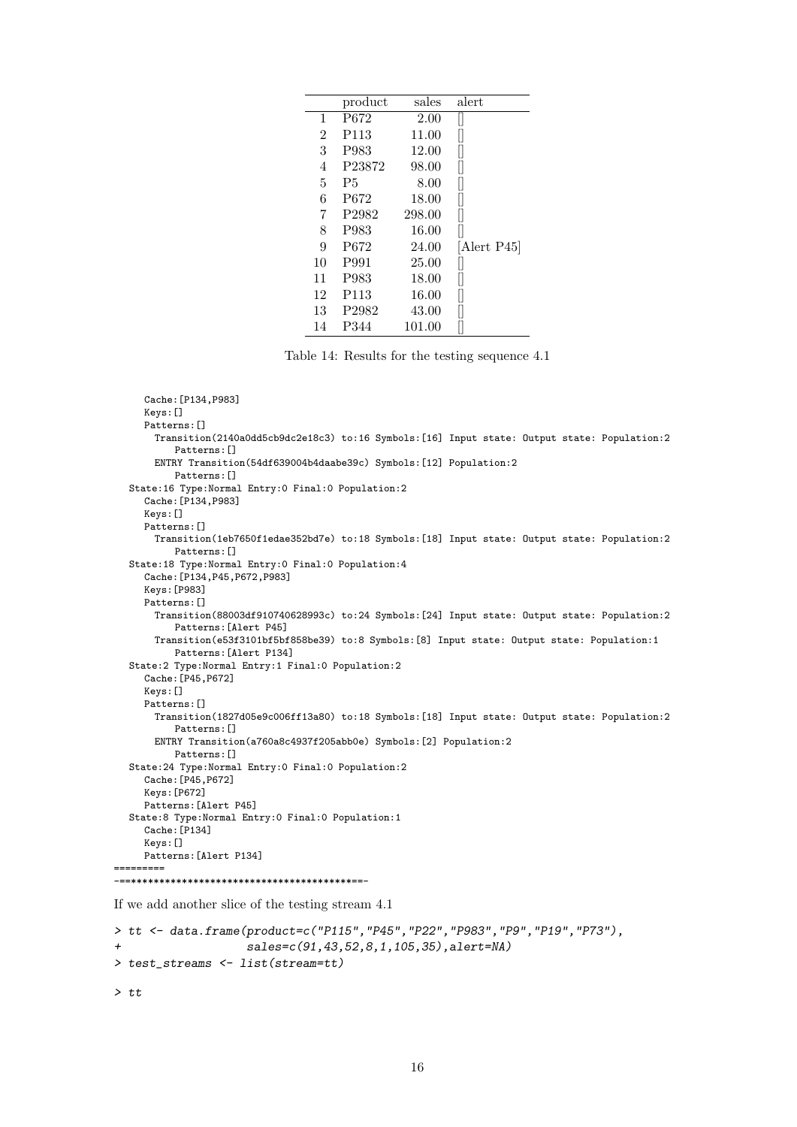|                | product           | sales  | alert     |
|----------------|-------------------|--------|-----------|
| 1              | P672              | 2.00   |           |
| $\overline{2}$ | P113              | 11.00  | II        |
| 3              | P983              | 12.00  |           |
| 4              | P23872            | 98.00  | II        |
| 5              | P5                | 8.00   | II        |
| 6              | P672              | 18.00  | II        |
| 7              | P <sub>2982</sub> | 298.00 | I         |
| 8              | P983              | 16.00  |           |
| 9              | P672              | 24.00  | Alert P45 |
| 10             | P991              | 25.00  |           |
| 11             | P983              | 18.00  | II        |
| 12             | P113              | 16.00  |           |
| 13             | P <sub>2982</sub> | 43.00  |           |
| 14             | P344              | 101.00 |           |

Table 14: Results for the testing sequence 4.1

```
Cache:[P134,P983]
     Keys:[]
     Patterns:[]
      Transition(2140a0dd5cb9dc2e18c3) to:16 Symbols:[16] Input state: Output state: Population:2
          Patterns:[]
       ENTRY Transition(54df639004b4daabe39c) Symbols:[12] Population:2
          Patterns:[]
  State:16 Type:Normal Entry:0 Final:0 Population:2
     Cache:[P134,P983]
     Keys:[]
     Patterns:[]
      Transition(1eb7650f1edae352bd7e) to:18 Symbols:[18] Input state: Output state: Population:2
          Patterns:[]
  State:18 Type:Normal Entry:0 Final:0 Population:4
     Cache:[P134,P45,P672,P983]
     Keys:[P983]
    Patterns: []
      Transition(88003df910740628993c) to:24 Symbols:[24] Input state: Output state: Population:2
          Patterns:[Alert P45]
       Transition(e53f3101bf5bf858be39) to:8 Symbols:[8] Input state: Output state: Population:1
          Patterns:[Alert P134]
  State:2 Type:Normal Entry:1 Final:0 Population:2
     Cache:[P45,P672]
     Keys:[]
     Patterns:[]
      Transition(1827d05e9c006ff13a80) to:18 Symbols:[18] Input state: Output state: Population:2
          Patterns:[]
       ENTRY Transition(a760a8c4937f205abb0e) Symbols:[2] Population:2
          Patterns:[]
  State:24 Type:Normal Entry:0 Final:0 Population:2
     Cache:[P45,P672]
     Keys:[P672]
     Patterns:[Alert P45]
  State:8 Type:Normal Entry:0 Final:0 Population:1
     Cache:[P134]
     Keys:[]
     Patterns:[Alert P134]
     =========
-==***************************************==-
```
If we add another slice of the testing stream 4.1

```
> tt <- data.frame(product=c("P115","P45","P22","P983","P9","P19","P73"),
+ sales=c(91,43,52,8,1,105,35),alert=NA)
> test_streams <- list(stream=tt)
```
 $>$  tt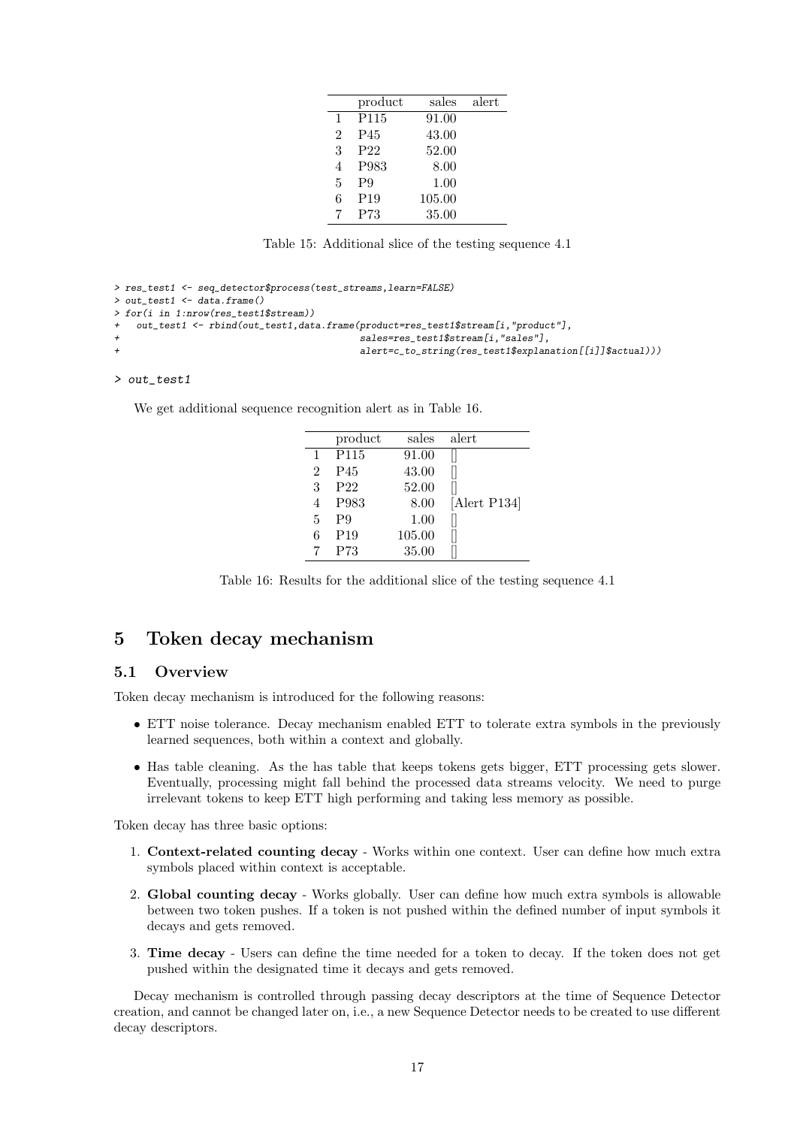|   | product          | sales  | alert |
|---|------------------|--------|-------|
| 1 | P <sub>115</sub> | 91.00  |       |
| 2 | P45              | 43.00  |       |
| 3 | P <sub>22</sub>  | 52.00  |       |
| 4 | P983             | 8.00   |       |
| 5 | P9               | 1.00   |       |
| 6 | P <sub>19</sub>  | 105.00 |       |
|   | P73              | 35.00  |       |

Table 15: Additional slice of the testing sequence 4.1

```
> res_test1 <- seq_detector$process(test_streams,learn=FALSE)
> out_test1 <- data.frame()
> for(i in 1:nrow(res_test1$stream))
    out_test1 <- rbind(out_test1,data.frame(product=res_test1$stream[i,"product"],
                                             .<br>sales=res_test1$stream[i,"sales"],
                                             alert=c_to_string(res_test1$explanation[[i]]$actual)))
```
#### > out\_test1

We get additional sequence recognition alert as in Table 16.

|              | product          | sales  | alert        |
|--------------|------------------|--------|--------------|
| $\mathbf{1}$ | P <sub>115</sub> | 91.00  |              |
| 2            | P45              | 43.00  |              |
| 3            | P <sub>22</sub>  | 52.00  |              |
|              | P983             | 8.00   | [Alert P134] |
| 5            | P9               | 1.00   |              |
| 6            | P <sub>19</sub>  | 105.00 |              |
|              | P73              | 35.00  |              |

Table 16: Results for the additional slice of the testing sequence 4.1

### 5 Token decay mechanism

#### 5.1 Overview

Token decay mechanism is introduced for the following reasons:

- ETT noise tolerance. Decay mechanism enabled ETT to tolerate extra symbols in the previously learned sequences, both within a context and globally.
- Has table cleaning. As the has table that keeps tokens gets bigger, ETT processing gets slower. Eventually, processing might fall behind the processed data streams velocity. We need to purge irrelevant tokens to keep ETT high performing and taking less memory as possible.

Token decay has three basic options:

- 1. Context-related counting decay Works within one context. User can define how much extra symbols placed within context is acceptable.
- 2. Global counting decay Works globally. User can define how much extra symbols is allowable between two token pushes. If a token is not pushed within the defined number of input symbols it decays and gets removed.
- 3. Time decay Users can define the time needed for a token to decay. If the token does not get pushed within the designated time it decays and gets removed.

Decay mechanism is controlled through passing decay descriptors at the time of Sequence Detector creation, and cannot be changed later on, i.e., a new Sequence Detector needs to be created to use different decay descriptors.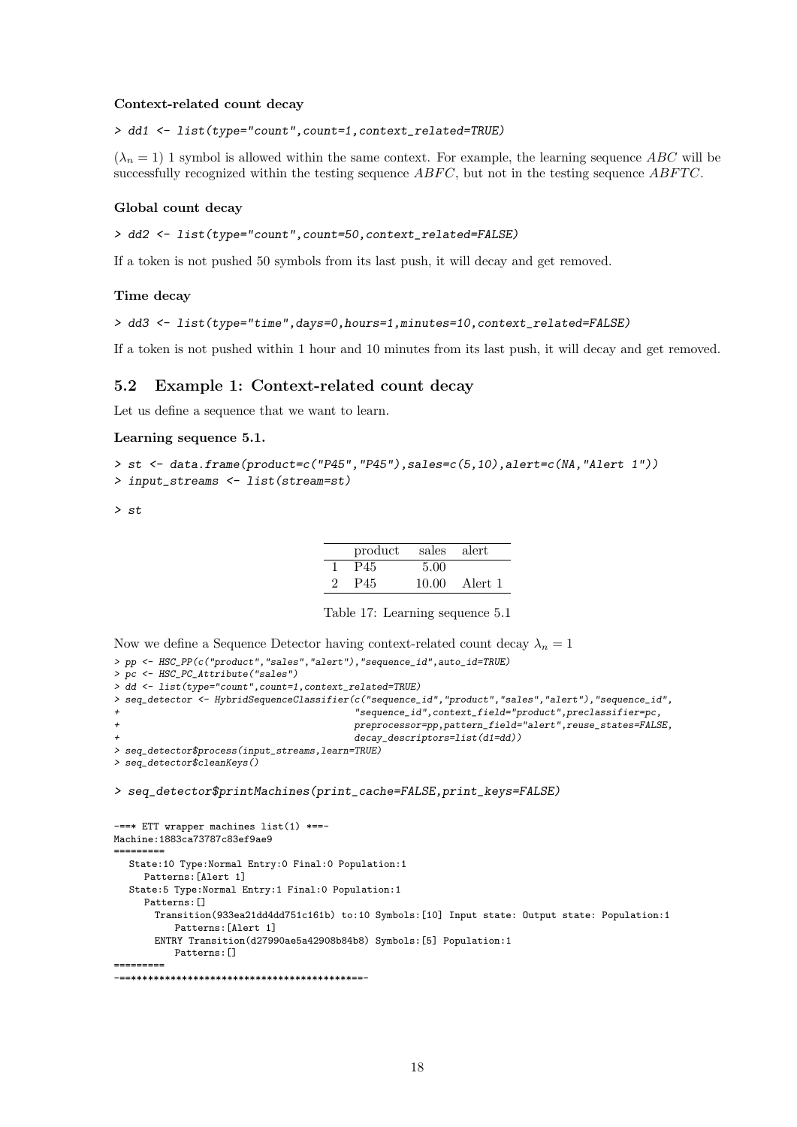#### Context-related count decay

> dd1 <- list(type="count",count=1,context\_related=TRUE)

 $(\lambda_n = 1)$  1 symbol is allowed within the same context. For example, the learning sequence ABC will be successfully recognized within the testing sequence  $ABFC$ , but not in the testing sequence  $ABFTC$ .

#### Global count decay

```
> dd2 <- list(type="count",count=50,context_related=FALSE)
```
If a token is not pushed 50 symbols from its last push, it will decay and get removed.

#### Time decay

```
> dd3 <- list(type="time",days=0,hours=1,minutes=10,context_related=FALSE)
```
If a token is not pushed within 1 hour and 10 minutes from its last push, it will decay and get removed.

#### 5.2 Example 1: Context-related count decay

Let us define a sequence that we want to learn.

#### Learning sequence 5.1.

```
> st <- data.frame(product=c("P45","P45"),sales=c(5,10),alert=c(NA,"Alert 1"))
> input_streams <- list(stream=st)
```
> st

|                             | product | sales alert |         |
|-----------------------------|---------|-------------|---------|
|                             | P45     | 5.00        |         |
| $\mathcal{D}_{\mathcal{L}}$ | P45     | 10.00       | Alert 1 |

Table 17: Learning sequence 5.1

```
Now we define a Sequence Detector having context-related count decay \lambda_n = 1
```

```
> pp <- HSC_PP(c("product","sales","alert"),"sequence_id",auto_id=TRUE)
> pc <- HSC_PC_Attribute("sales")
> dd <- list(type="count",count=1,context_related=TRUE)
> seq_detector <- HybridSequenceClassifier(c("sequence_id","product","sales","alert"),"sequence_id",
                                           + "sequence_id",context_field="product",preclassifier=pc,
                                           preprocessor=pp,pattern_field="alert",reuse_states=FALSE,
                                           decay_descriptors=list(d1=dd))
> seq_detector$process(input_streams,learn=TRUE)
> seq_detector$cleanKeys()
```
> seq\_detector\$printMachines(print\_cache=FALSE,print\_keys=FALSE)

```
-==* ETT wrapper machines list(1) *==-
Machine:1883ca73787c83ef9ae9
  =========
  State:10 Type:Normal Entry:0 Final:0 Population:1
     Patterns:[Alert 1]
  State:5 Type:Normal Entry:1 Final:0 Population:1
     Patterns: []
       Transition(933ea21dd4dd751c161b) to:10 Symbols:[10] Input state: Output state: Population:1
          Patterns:[Alert 1]
       ENTRY Transition(d27990ae5a42908b84b8) Symbols:[5] Population:1
           Patterns: []
=========
-==***************************************==-
```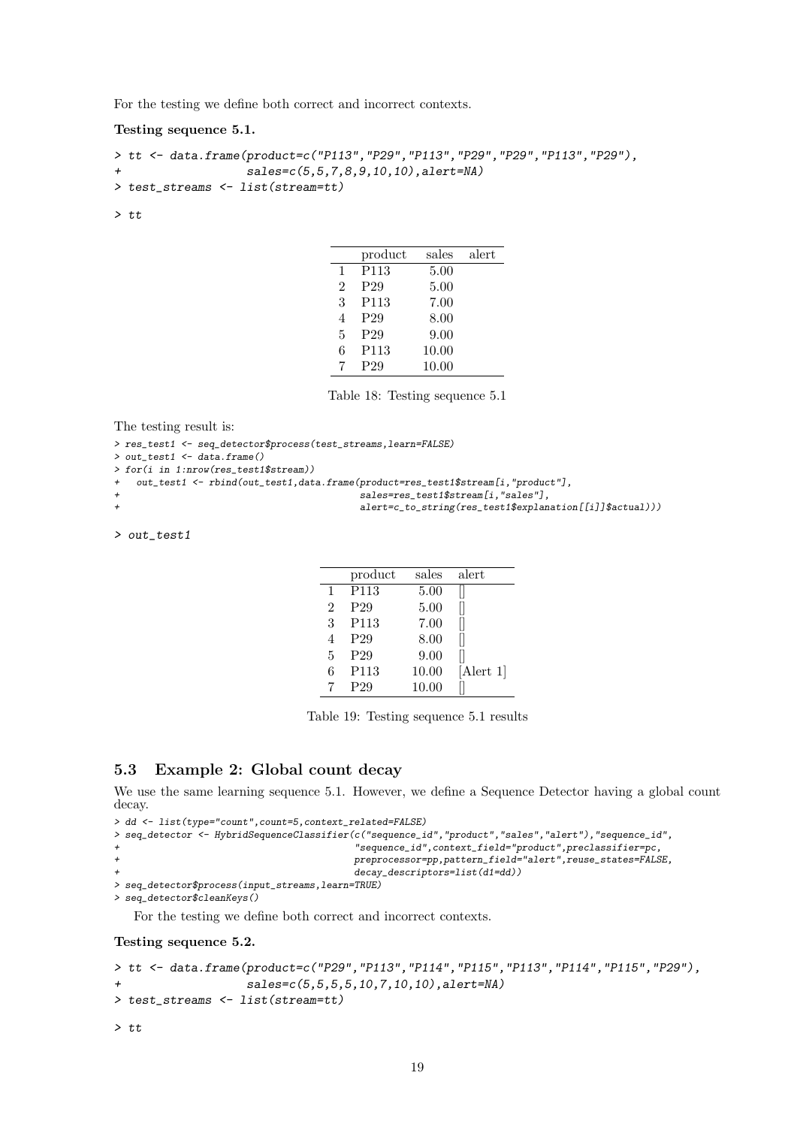For the testing we define both correct and incorrect contexts.

Testing sequence 5.1.

```
> tt <- data.frame(product=c("P113","P29","P113","P29","P29","P113","P29"),
+ sales=c(5,5,7,8,9,10,10),alert=NA)
> test_streams <- list(stream=tt)
```
> tt

|                | product          | sales | alert |
|----------------|------------------|-------|-------|
| $\mathbf{1}$   | P <sub>113</sub> | 5.00  |       |
| $\mathfrak{D}$ | P <sub>29</sub>  | 5.00  |       |
| 3              | P <sub>113</sub> | 7.00  |       |
| 4              | P <sub>29</sub>  | 8.00  |       |
| $\overline{5}$ | P <sub>29</sub>  | 9.00  |       |
| 6              | P <sub>113</sub> | 10.00 |       |
|                | P <sub>29</sub>  | 10.00 |       |

Table 18: Testing sequence 5.1

```
The testing result is:
```

```
> res_test1 <- seq_detector$process(test_streams,learn=FALSE)
```
> out\_test1 <- data.frame()

> for(i in 1:nrow(res\_test1\$stream))

```
+ out_test1 <- rbind(out_test1,data.frame(product=res_test1$stream[i,"product"],
```

```
sales=res_test1$stream[i,"sales"],
```

```
alert=c_to_string(res_test1$explanation[[i]]$actual)))
```
> out\_test1

|              | product          | sales | alert     |
|--------------|------------------|-------|-----------|
| $\mathbf{1}$ | P113             | 5.00  |           |
| 2            | P <sub>29</sub>  | 5.00  |           |
| 3            | P113             | 7.00  |           |
| 4            | P <sub>29</sub>  | 8.00  |           |
| 5            | P <sub>29</sub>  | 9.00  |           |
| 6            | P <sub>113</sub> | 10.00 | [Alert 1] |
|              | P <sub>29</sub>  | 10.00 |           |

Table 19: Testing sequence 5.1 results

### 5.3 Example 2: Global count decay

We use the same learning sequence 5.1. However, we define a Sequence Detector having a global count decay.

```
> dd <- list(type="count",count=5,context_related=FALSE)
> seq_detector <- HybridSequenceClassifier(c("sequence_id","product","sales","alert"),"sequence_id",
                                              \label{eq:sequence_id} "sequence_id", context\_field="product",preclassifier=pc,+ preprocessor=pp,pattern_field="alert",reuse_states=FALSE,
                                              decay\_descriptors=list(d1=dd))> seq_detector$process(input_streams,learn=TRUE)
> seq_detector$cleanKeys()
```
For the testing we define both correct and incorrect contexts.

Testing sequence 5.2.

```
> tt <- data.frame(product=c("P29","P113","P114","P115","P113","P114","P115","P29"),
+ sales=c(5,5,5,5,10,7,10,10),alert=NA)
> test_streams <- list(stream=tt)
> tt
```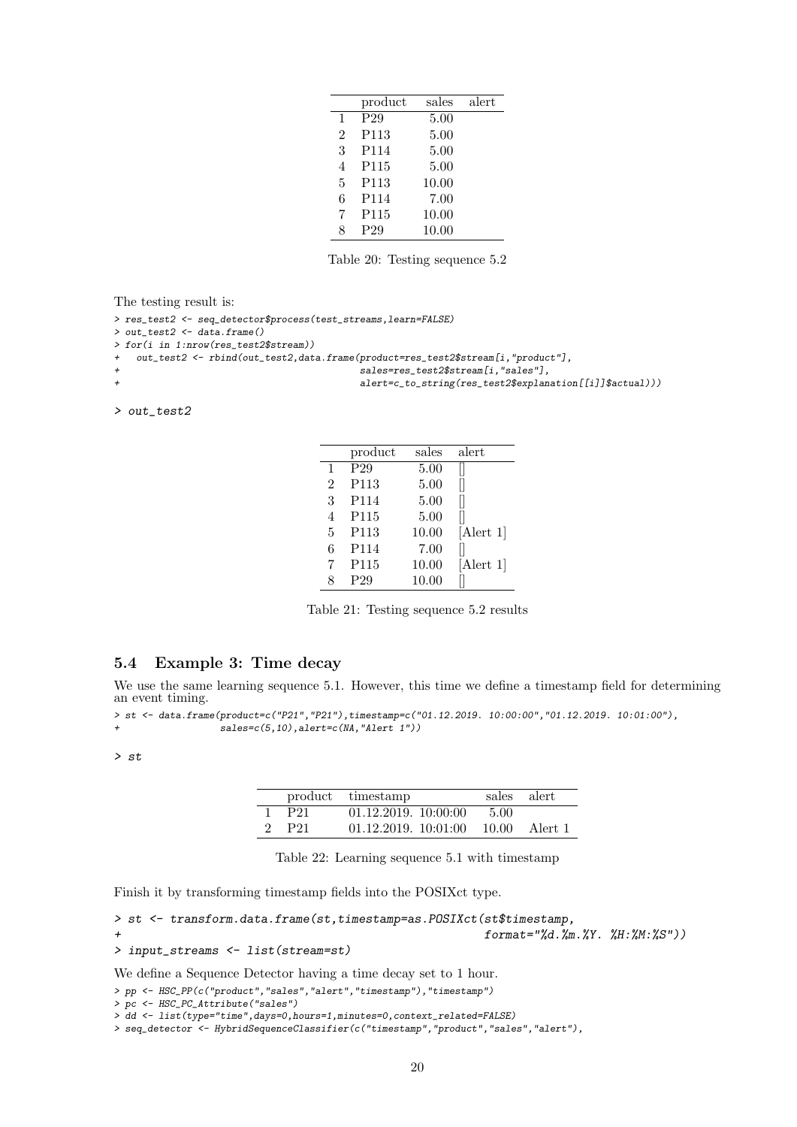|                | product          | sales | alert |
|----------------|------------------|-------|-------|
| 1              | P <sub>29</sub>  | 5.00  |       |
| $\overline{2}$ | P <sub>113</sub> | 5.00  |       |
| 3              | P114             | 5.00  |       |
| 4              | P <sub>115</sub> | 5.00  |       |
| 5              | P <sub>113</sub> | 10.00 |       |
| 6              | P114             | 7.00  |       |
| 7              | P <sub>115</sub> | 10.00 |       |
|                | P <sub>29</sub>  | 10.00 |       |

Table 20: Testing sequence 5.2

The testing result is:

```
> res_test2 <- seq_detector$process(test_streams,learn=FALSE)
> out_test2 <- data.frame()
> for(i in 1:nrow(res_test2$stream))
   out_test2 <- rbind(out_test2,data.frame(product=res_test2$stream[i,"product"],
                                            sales=res_test2$stream[i,"sales"],
                                            alert=c_to_string(res_test2$explanation[[i]]$actual)))
```
> out\_test2

|                | product         | sales | alert     |
|----------------|-----------------|-------|-----------|
| $\mathbf{1}$   | P <sub>29</sub> | 5.00  |           |
| $\overline{2}$ | P113            | 5.00  |           |
| 3              | P114            | 5.00  |           |
| 4              | P115            | 5.00  |           |
| 5              | P113            | 10.00 | [Alert 1] |
| 6              | P114            | 7.00  |           |
|                | P115            | 10.00 | [Alert 1] |
|                | P <sub>29</sub> | 10.00 |           |

Table 21: Testing sequence 5.2 results

#### 5.4 Example 3: Time decay

We use the same learning sequence 5.1. However, this time we define a timestamp field for determining an event timing.

```
> st <- data.frame(product=c("P21","P21"),timestamp=c("01.12.2019. 10:00:00","01.12.2019. 10:01:00"),
                   sales=c(5,10), alert=c(MA, "Alert 1"))
```
> st

|                   | product timestamp                    |      | sales alert |
|-------------------|--------------------------------------|------|-------------|
| 1 P <sub>21</sub> | 01.12.2019. 10:00:00                 | 5.00 |             |
| 2 P <sub>21</sub> | $01.12.2019. 10:01:00 10.00$ Alert 1 |      |             |

Table 22: Learning sequence 5.1 with timestamp

Finish it by transforming timestamp fields into the POSIXct type.

```
> st <- transform.data.frame(st,timestamp=as.POSIXct(st$timestamp,
+ format="%d.%m.%Y. %H:%M:%S"))
```

```
> input_streams <- list(stream=st)
```
We define a Sequence Detector having a time decay set to 1 hour.

```
> pp <- HSC_PP(c("product","sales","alert","timestamp"),"timestamp")
```

```
> pc <- HSC_PC_Attribute("sales")
```

```
> dd <- list(type="time",days=0,hours=1,minutes=0,context_related=FALSE)
```

```
> seq_detector <- HybridSequenceClassifier(c("timestamp","product","sales","alert"),
```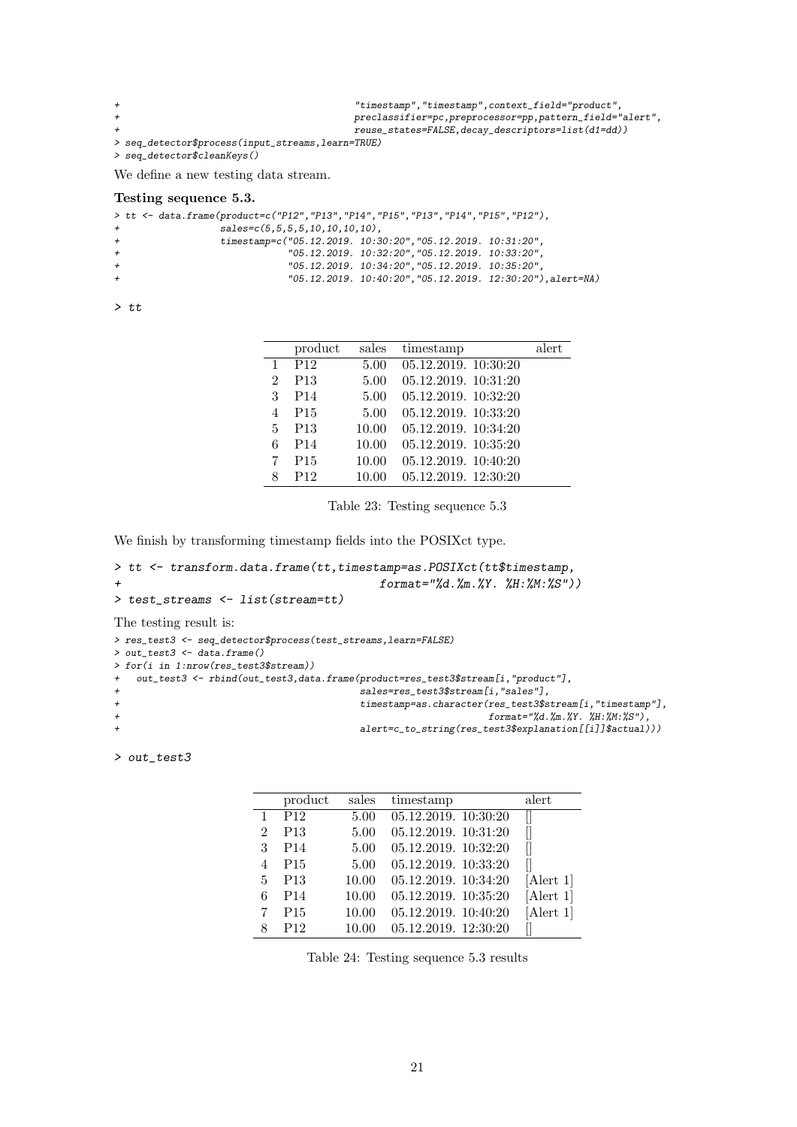```
+ "timestamp","timestamp",context_field="product",
                                  + preclassifier=pc,preprocessor=pp,pattern_field="alert",
+ reuse\_states = FALSE, decay\_descriptors = list(d1 = dd)> seq_detector$process(input_streams,learn=TRUE)
> seq_detector$cleanKeys()
We define a new testing data stream.
```
#### Testing sequence 5.3.

| $"05.12.2019. 10:40:20", "05.12.2019. 12:30:20"), aIert=NA)$ |
|--------------------------------------------------------------|
|                                                              |

 $>$  tt

|   | product         | sales | timestamp            | alert |
|---|-----------------|-------|----------------------|-------|
| 1 | P <sub>12</sub> | 5.00  | 05.12.2019.10:30:20  |       |
| 2 | P <sub>13</sub> | 5.00  | 05.12.2019. 10:31:20 |       |
| 3 | P <sub>14</sub> | 5.00  | 05.12.2019.10:32:20  |       |
| 4 | P <sub>15</sub> | 5.00  | 05.12.2019.10:33:20  |       |
| 5 | P <sub>13</sub> | 10.00 | 05.12.2019.10:34:20  |       |
| 6 | P <sub>14</sub> | 10.00 | 05.12.2019.10:35:20  |       |
|   | P <sub>15</sub> | 10.00 | 05.12.2019. 10:40:20 |       |
|   | P12             | 10.00 | 05.12.2019. 12:30:20 |       |

Table 23: Testing sequence 5.3

We finish by transforming timestamp fields into the POSIXct type.

```
> tt <- transform.data.frame(tt,timestamp=as.POSIXct(tt$timestamp,
+ format="%d.%m.%Y. %H:%M:%S"))
> test_streams <- list(stream=tt)
```
The testing result is:

```
> res_test3 <- seq_detector$process(test_streams,learn=FALSE)
> out_test3 <- data.frame()
> for(i in 1:nrow(res_test3$stream))
   out_test3 <- rbind(out_test3,data.frame(product=res_test3$stream[i,"product"],
                                      sales=res_test3$stream[i,"sales"],
                                     + timestamp=as.character(res_test3$stream[i,"timestamp"],
+ format="%d.%m.%Y. %H:%M:%S"),
                                      alert=c_to_string(res_test3$explanation[[i]]$actual)))
```
> out\_test3

|                | product         | sales | timestamp            | alert           |
|----------------|-----------------|-------|----------------------|-----------------|
| 1              | P <sub>12</sub> | 5.00  | 05.12.2019. 10:30:20 |                 |
| $\mathfrak{D}$ | P <sub>13</sub> | 5.00  | 05.12.2019. 10:31:20 |                 |
| 3              | P <sub>14</sub> | 5.00  | 05.12.2019. 10:32:20 |                 |
|                | P <sub>15</sub> | 5.00  | 05.12.2019. 10:33:20 |                 |
| 5              | P <sub>13</sub> | 10.00 | 05.12.2019. 10:34:20 | $[$ Alert 1 $]$ |
| 6              | P <sub>14</sub> | 10.00 | 05.12.2019. 10:35:20 | $[$ Alert 1 $]$ |
|                | P <sub>15</sub> | 10.00 | 05.12.2019. 10:40:20 | [Alert 1]       |
| 8              | P <sub>12</sub> | 10.00 | 05.12.2019. 12:30:20 |                 |

Table 24: Testing sequence 5.3 results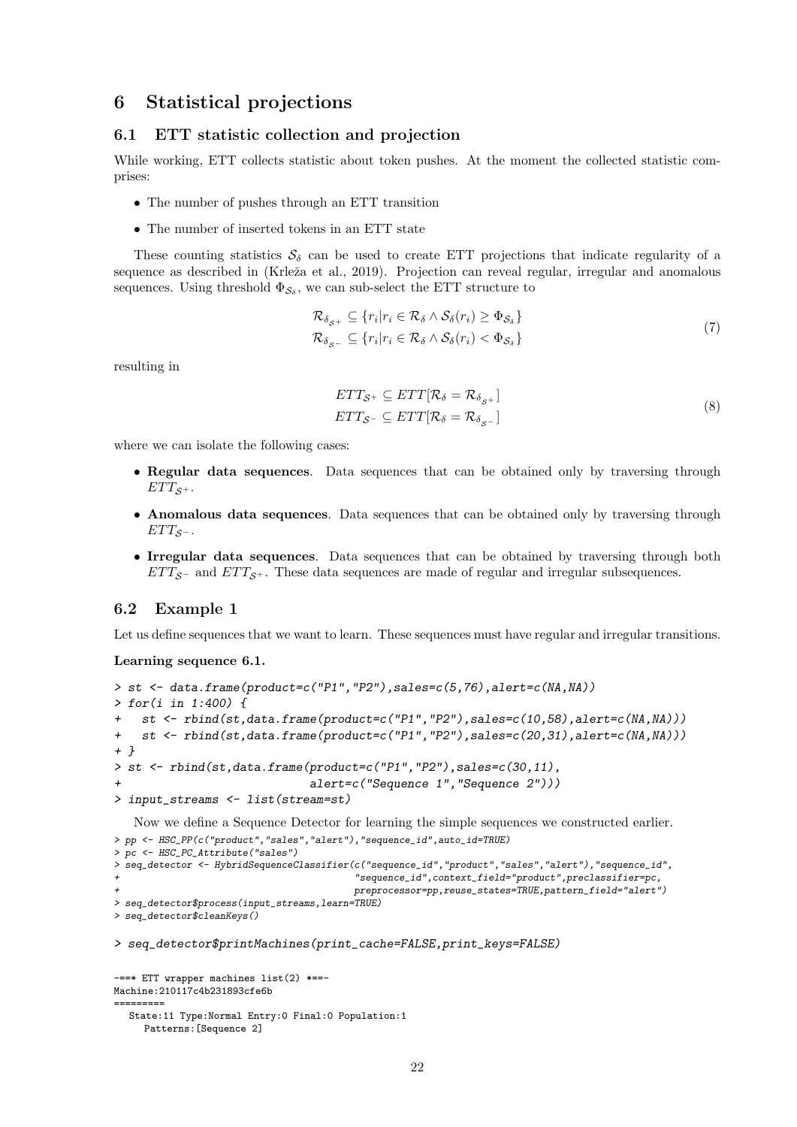### 6 Statistical projections

#### 6.1 ETT statistic collection and projection

While working, ETT collects statistic about token pushes. At the moment the collected statistic comprises:

- The number of pushes through an ETT transition
- The number of inserted tokens in an ETT state

These counting statistics  $S_{\delta}$  can be used to create ETT projections that indicate regularity of a sequence as described in (Krleža et al., 2019). Projection can reveal regular, irregular and anomalous sequences. Using threshold  $\Phi_{\mathcal{S}_{\delta}}$ , we can sub-select the ETT structure to

$$
\mathcal{R}_{\delta_{S^+}} \subseteq \{r_i | r_i \in \mathcal{R}_{\delta} \land \mathcal{S}_{\delta}(r_i) \ge \Phi_{\mathcal{S}_{\delta}}\}\
$$
  

$$
\mathcal{R}_{\delta_{S^-}} \subseteq \{r_i | r_i \in \mathcal{R}_{\delta} \land \mathcal{S}_{\delta}(r_i) < \Phi_{\mathcal{S}_{\delta}}\}\
$$
  
(7)

resulting in

$$
ETT_{\mathcal{S}^+} \subseteq ETT[\mathcal{R}_{\delta} = \mathcal{R}_{\delta_{\mathcal{S}^+}}]
$$
  
 
$$
ETT_{\mathcal{S}^-} \subseteq ETT[\mathcal{R}_{\delta} = \mathcal{R}_{\delta_{\mathcal{S}^-}}]
$$
 (8)

where we can isolate the following cases:

- Regular data sequences. Data sequences that can be obtained only by traversing through  $ETT_{S+}$ .
- Anomalous data sequences. Data sequences that can be obtained only by traversing through  $ETT_{S^-}$ .
- Irregular data sequences. Data sequences that can be obtained by traversing through both  $ETT_{\mathcal{S}^-}$  and  $ETT_{\mathcal{S}^+}$ . These data sequences are made of regular and irregular subsequences.

#### 6.2 Example 1

Let us define sequences that we want to learn. These sequences must have regular and irregular transitions.

Learning sequence 6.1.

```
> st <- data.frame(product=c("P1","P2"),sales=c(5,76),alert=c(NA,NA))
> for(i in 1:400) {
+ st <- rbind(st,data.frame(product=c("P1","P2"),sales=c(10,58),alert=c(NA,NA)))
+ st <- rbind(st,data.frame(product=c("P1","P2"),sales=c(20,31),alert=c(NA,NA)))
+ }
> st <- rbind(st,data.frame(product=c("P1","P2"),sales=c(30,11),
+ alert=c("Sequence 1","Sequence 2")))
> input_streams <- list(stream=st)
```
Now we define a Sequence Detector for learning the simple sequences we constructed earlier. > pp <- HSC\_PP(c("product","sales","alert"),"sequence\_id",auto\_id=TRUE)

```
> pc <- HSC_PC_Attribute("sales")
> seq_detector <- HybridSequenceClassifier(c("sequence_id","product","sales","alert"),"sequence_id",
                                          + "sequence_id",context_field="product",preclassifier=pc,
                                          + preprocessor=pp,reuse_states=TRUE,pattern_field="alert")
> seq_detector$process(input_streams,learn=TRUE)
> seq_detector$cleanKeys()
> seq_detector$printMachines(print_cache=FALSE,print_keys=FALSE)
```

```
-==* ETT wrapper machines list(2) *==-
Machine:210117c4b231893cfe6b
=========
  State:11 Type:Normal Entry:0 Final:0 Population:1
     Patterns:[Sequence 2]
```

```
22
```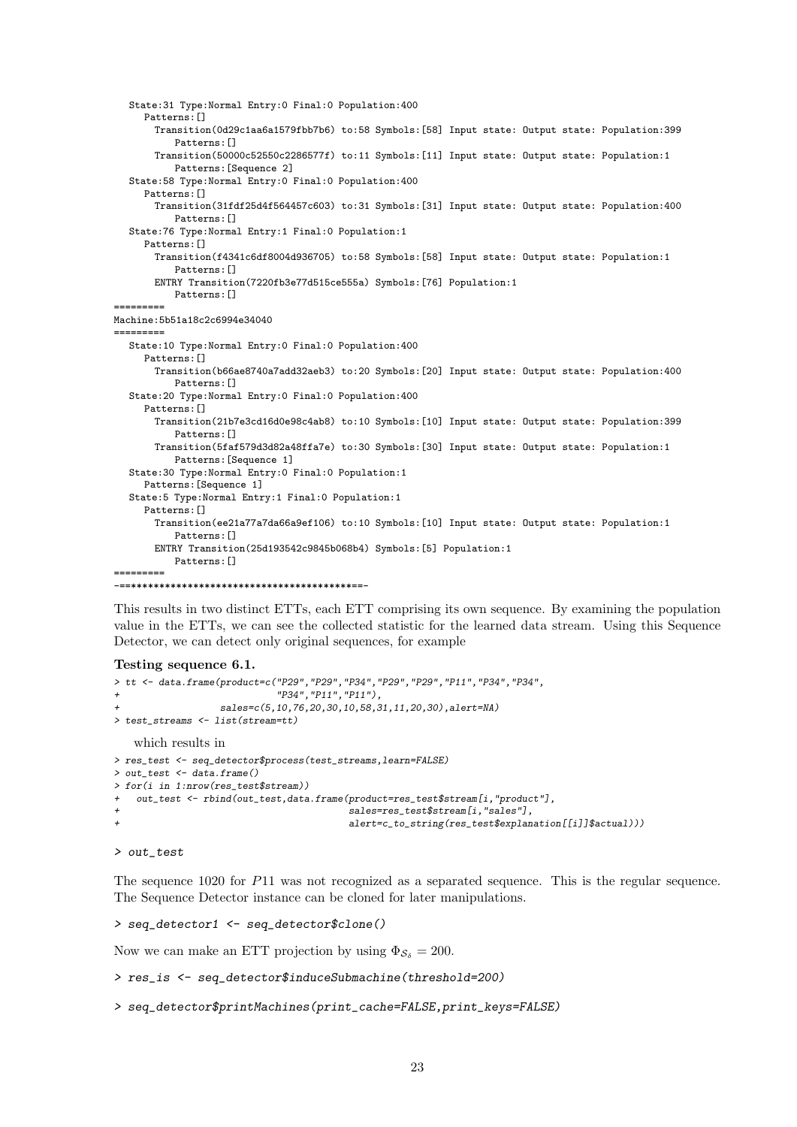```
State:31 Type:Normal Entry:0 Final:0 Population:400
     Patterns:[]
       Transition(0d29c1aa6a1579fbb7b6) to:58 Symbols:[58] Input state: Output state: Population:399
           Patterns: []
       Transition(50000c52550c2286577f) to:11 Symbols:[11] Input state: Output state: Population:1
          Patterns:[Sequence 2]
  State:58 Type:Normal Entry:0 Final:0 Population:400
     Patterns: []
       Transition(31fdf25d4f564457c603) to:31 Symbols:[31] Input state: Output state: Population:400
          Patterns:[]
  State:76 Type:Normal Entry:1 Final:0 Population:1
     Patterns: []
       Transition(f4341c6df8004d936705) to:58 Symbols:[58] Input state: Output state: Population:1
          Patterns:[]
       ENTRY Transition(7220fb3e77d515ce555a) Symbols:[76] Population:1
          Patterns:[]
=========
Machine:5b51a18c2c6994e34040
=========
  State:10 Type:Normal Entry:0 Final:0 Population:400
     Patterns:[]
       Transition(b66ae8740a7add32aeb3) to:20 Symbols:[20] Input state: Output state: Population:400
          Patterns:[]
  State:20 Type:Normal Entry:0 Final:0 Population:400
     Patterns: []
       Transition(21b7e3cd16d0e98c4ab8) to:10 Symbols:[10] Input state: Output state: Population:399
          Patterns: []
       Transition(5faf579d3d82a48ffa7e) to:30 Symbols:[30] Input state: Output state: Population:1
          Patterns:[Sequence 1]
  State:30 Type:Normal Entry:0 Final:0 Population:1
     Patterns:[Sequence 1]
  State:5 Type:Normal Entry:1 Final:0 Population:1
     Patterns:[]
       Transition(ee21a77a7da66a9ef106) to:10 Symbols:[10] Input state: Output state: Population:1
          Patterns:[]
       ENTRY Transition(25d193542c9845b068b4) Symbols:[5] Population:1
          Patterns:[]
=========
 -==***************************************==-
```
This results in two distinct ETTs, each ETT comprising its own sequence. By examining the population value in the ETTs, we can see the collected statistic for the learned data stream. Using this Sequence Detector, we can detect only original sequences, for example

#### Testing sequence 6.1.

```
> tt <- data.frame(product=c("P29","P29","P34","P29","P29","P11","P34","P34",
                           "P34", "P11", "P11"),
                 sales=c(5,10,76,20,30,10,58,31,11,20,30),alert=NA)
> test_streams <- list(stream=tt)
   which results in
> res_test <- seq_detector$process(test_streams,learn=FALSE)
> out_test <- data.frame()
> for(i in 1:nrow(res_test$stream))
+ out_test <- rbind(out_test,data.frame(product=res_test$stream[i,"product"],
+ sales=res_test$stream[i,"sales"],
                                       alert=c_to_string(res_test$explanation[[i]]$actual)))
```

```
> out_test
```
The sequence 1020 for P11 was not recognized as a separated sequence. This is the regular sequence. The Sequence Detector instance can be cloned for later manipulations.

> seq\_detector1 <- seq\_detector\$clone()

Now we can make an ETT projection by using  $\Phi_{\mathcal{S}_{\delta}} = 200$ .

> res\_is <- seq\_detector\$induceSubmachine(threshold=200)

> seq\_detector\$printMachines(print\_cache=FALSE,print\_keys=FALSE)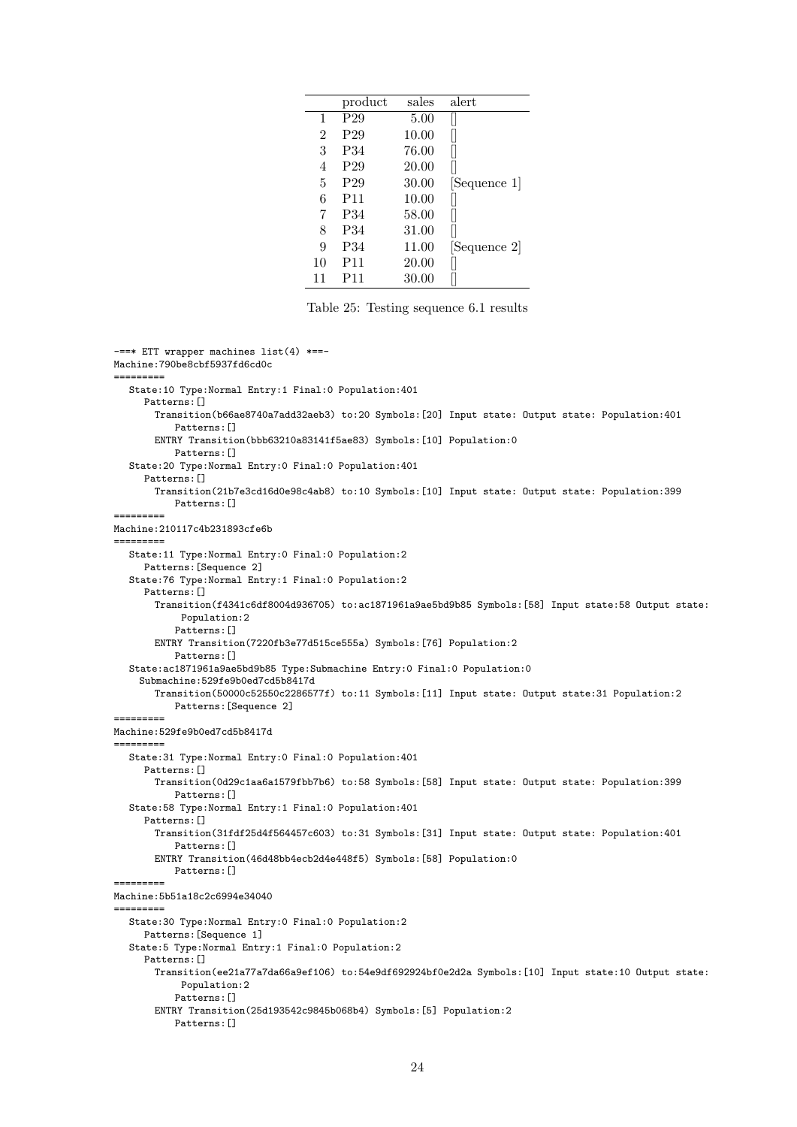|    | product         | sales | alert        |
|----|-----------------|-------|--------------|
| 1  | P <sub>29</sub> | 5.00  |              |
| 2  | P <sub>29</sub> | 10.00 |              |
| 3  | P34             | 76.00 |              |
| 4  | P <sub>29</sub> | 20.00 |              |
| 5  | P <sub>29</sub> | 30.00 | [Sequence 1] |
| 6  | P <sub>11</sub> | 10.00 |              |
| 7  | P34             | 58.00 |              |
| 8  | P34             | 31.00 |              |
| 9  | P34             | 11.00 | Sequence 2   |
| 10 | P11             | 20.00 |              |
| 11 | P11             | 30.00 |              |

Table 25: Testing sequence 6.1 results

-==\* ETT wrapper machines list(4) \*==-Machine:790be8cbf5937fd6cd0c ========= State:10 Type:Normal Entry:1 Final:0 Population:401 Patterns:[] Transition(b66ae8740a7add32aeb3) to:20 Symbols:[20] Input state: Output state: Population:401 Patterns: [] ENTRY Transition(bbb63210a83141f5ae83) Symbols: [10] Population: 0 Patterns:[] State:20 Type:Normal Entry:0 Final:0 Population:401 Patterns: [] Transition(21b7e3cd16d0e98c4ab8) to:10 Symbols:[10] Input state: Output state: Population:399 Patterns:[] ========= Machine:210117c4b231893cfe6b ========= State:11 Type:Normal Entry:0 Final:0 Population:2 Patterns:[Sequence 2] State:76 Type:Normal Entry:1 Final:0 Population:2 Patterns:[] Transition(f4341c6df8004d936705) to:ac1871961a9ae5bd9b85 Symbols:[58] Input state:58 Output state: Population:2 Patterns: [] ENTRY Transition(7220fb3e77d515ce555a) Symbols:[76] Population:2 Patterns: [] State:ac1871961a9ae5bd9b85 Type:Submachine Entry:0 Final:0 Population:0 Submachine:529fe9b0ed7cd5b8417d Transition(50000c52550c2286577f) to:11 Symbols:[11] Input state: Output state:31 Population:2 Patterns:[Sequence 2] ========= Machine:529fe9b0ed7cd5b8417d ========= State:31 Type:Normal Entry:0 Final:0 Population:401 Patterns: [] Transition(0d29c1aa6a1579fbb7b6) to:58 Symbols:[58] Input state: Output state: Population:399 Patterns:[] State:58 Type:Normal Entry:1 Final:0 Population:401 Patterns: [] Transition(31fdf25d4f564457c603) to:31 Symbols:[31] Input state: Output state: Population:401 Patterns:[] ENTRY Transition(46d48bb4ecb2d4e448f5) Symbols:[58] Population:0 Patterns:[] ========= Machine:5b51a18c2c6994e34040 ========= State:30 Type:Normal Entry:0 Final:0 Population:2 Patterns:[Sequence 1] State:5 Type:Normal Entry:1 Final:0 Population:2 Patterns: [] Transition(ee21a77a7da66a9ef106) to:54e9df692924bf0e2d2a Symbols:[10] Input state:10 Output state: Population:2 Patterns: [] ENTRY Transition(25d193542c9845b068b4) Symbols:[5] Population:2 Patterns:[]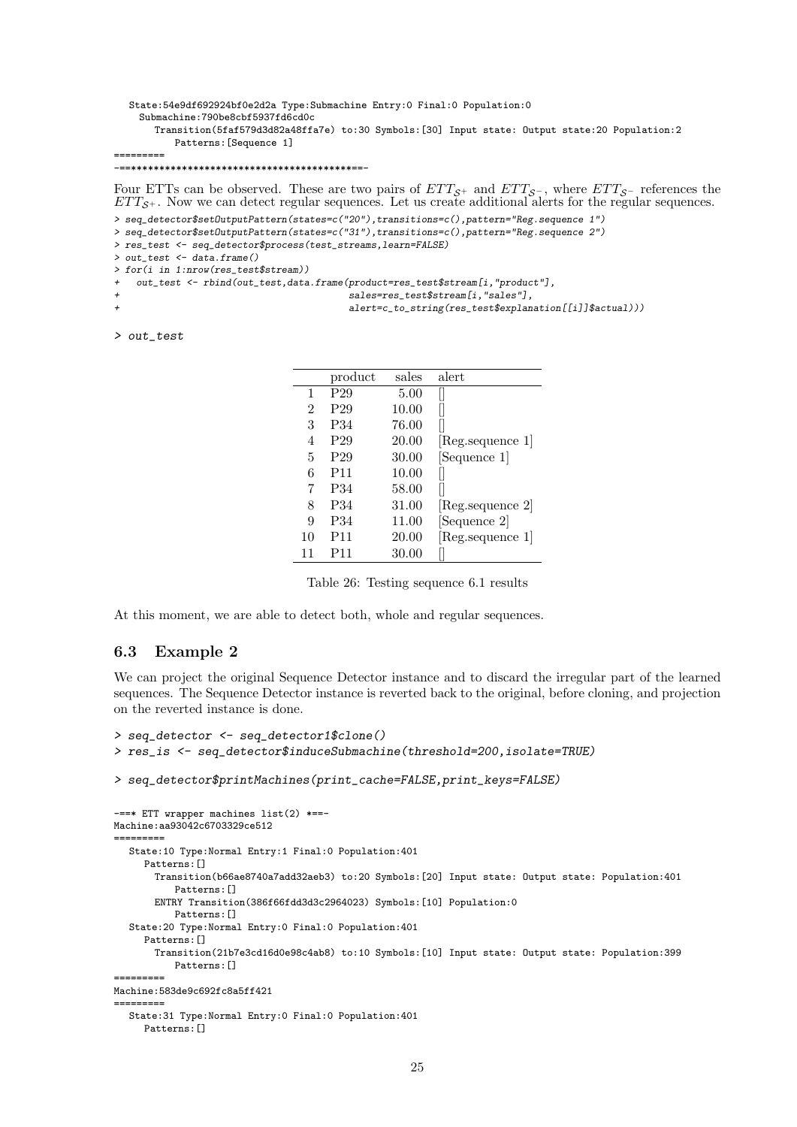State:54e9df692924bf0e2d2a Type:Submachine Entry:0 Final:0 Population:0 Submachine:790be8cbf5937fd6cd0c Transition(5faf579d3d82a48ffa7e) to:30 Symbols:[30] Input state: Output state:20 Population:2 Patterns:[Sequence 1] ========= -==\*\*\*\*\*\*\*\*\*\*\*\*\*\*\*\*\*\*\*\*\*\*\*\*\*\*\*\*\*\*\*\*\*\*\*\*\*\*\*==-

Four ETTs can be observed. These are two pairs of  $ETT_{\mathcal{S}^+}$  and  $ETT_{\mathcal{S}^-}$ , where  $ETT_{\mathcal{S}^-}$  references the  $ETT_{S+}$ . Now we can detect regular sequences. Let us create additional alerts for the regular sequences. > seq\_detector\$setOutputPattern(states=c("20"),transitions=c(),pattern="Reg.sequence 1") > seq\_detector\$setOutputPattern(states=c("31"),transitions=c(),pattern="Reg.sequence 2") > res\_test <- seq\_detector\$process(test\_streams,learn=FALSE) > out\_test <- data.frame() > for(i in 1:nrow(res\_test\$stream)) out\_test <- rbind(out\_test,data.frame(product=res\_test\$stream[i,"product"], sales=res\_test\$stream[i,"sales"], alert=c\_to\_string(res\_test\$explanation[[i]]\$actual)))

> out\_test

|                | product         | sales | alert                      |
|----------------|-----------------|-------|----------------------------|
| 1              | P <sub>29</sub> | 5.00  |                            |
| $\overline{2}$ | P <sub>29</sub> | 10.00 |                            |
| 3              | P34             | 76.00 |                            |
| 4              | P <sub>29</sub> | 20.00 | [Reg.sequence 1]           |
| 5              | P <sub>29</sub> | 30.00 | [Sequence 1]               |
| 6              | P <sub>11</sub> | 10.00 |                            |
| 7              | P34             | 58.00 |                            |
| 8              | P34             | 31.00 | Reg.sequence 2             |
| 9              | P34             | 11.00 | [Sequence 2]               |
| 10             | P11             | 20.00 | $ Reg \text{.sequence} 1 $ |
| 11             | P11             | 30.00 |                            |

Table 26: Testing sequence 6.1 results

At this moment, we are able to detect both, whole and regular sequences.

#### 6.3 Example 2

We can project the original Sequence Detector instance and to discard the irregular part of the learned sequences. The Sequence Detector instance is reverted back to the original, before cloning, and projection on the reverted instance is done.

```
> seq_detector <- seq_detector1$clone()
> res_is <- seq_detector$induceSubmachine(threshold=200,isolate=TRUE)
> seq_detector$printMachines(print_cache=FALSE,print_keys=FALSE)
-==* ETT wrapper machines list(2) *==-
Machine:aa93042c6703329ce512
=========
  State:10 Type:Normal Entry:1 Final:0 Population:401
     Patterns:[]
       Transition(b66ae8740a7add32aeb3) to:20 Symbols:[20] Input state: Output state: Population:401
          Patterns:[]
       ENTRY Transition(386f66fdd3d3c2964023) Symbols:[10] Population:0
          Patterns:[]
  State:20 Type:Normal Entry:0 Final:0 Population:401
     Patterns: []
       Transition(21b7e3cd16d0e98c4ab8) to:10 Symbols:[10] Input state: Output state: Population:399
          Patterns:[]
=========
Machine:583de9c692fc8a5ff421
=========
  State:31 Type:Normal Entry:0 Final:0 Population:401
     Patterns:[]
```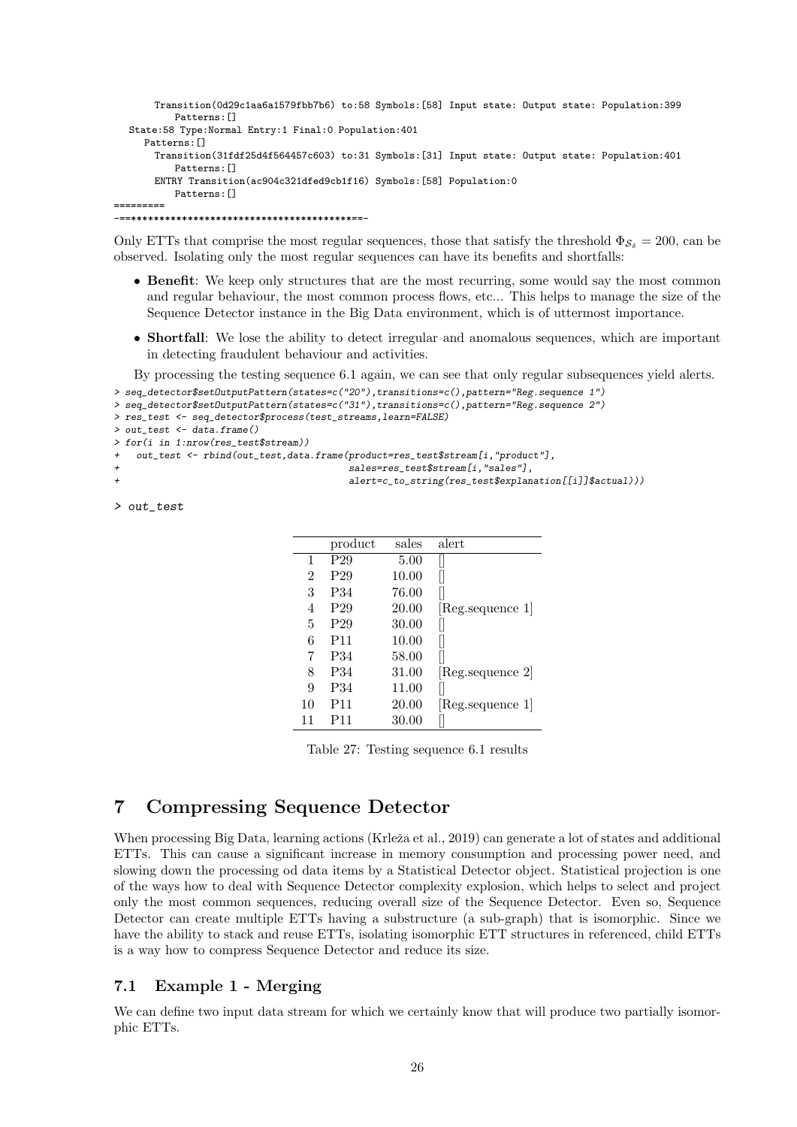```
Transition(0d29c1aa6a1579fbb7b6) to:58 Symbols:[58] Input state: Output state: Population:399
          Patterns:[]
  State:58 Type:Normal Entry:1 Final:0 Population:401
     Patterns:[]
      Transition(31fdf25d4f564457c603) to:31 Symbols:[31] Input state: Output state: Population:401
          Patterns:[]
      ENTRY Transition(ac904c321dfed9cb1f16) Symbols:[58] Population:0
          Patterns: []
=========
```
-==\*\*\*\*\*\*\*\*\*\*\*\*\*\*\*\*\*\*\*\*\*\*\*\*\*\*\*\*\*\*\*\*\*\*\*\*\*\*\*==-

Only ETTs that comprise the most regular sequences, those that satisfy the threshold  $\Phi_{\mathcal{S}_{\delta}} = 200$ , can be observed. Isolating only the most regular sequences can have its benefits and shortfalls:

- Benefit: We keep only structures that are the most recurring, some would say the most common and regular behaviour, the most common process flows, etc... This helps to manage the size of the Sequence Detector instance in the Big Data environment, which is of uttermost importance.
- Shortfall: We lose the ability to detect irregular and anomalous sequences, which are important in detecting fraudulent behaviour and activities.

By processing the testing sequence 6.1 again, we can see that only regular subsequences yield alerts.

```
> seq_detector$setOutputPattern(states=c("20"),transitions=c(),pattern="Reg.sequence 1")
```

```
> seq_detector$setOutputPattern(states=c("31"),transitions=c(),pattern="Reg.sequence 2")
> res_test <- seq_detector$process(test_streams,learn=FALSE)
```

```
> out_test <- data.frame()
```

```
> for(i in 1:nrow(res_test$stream))
```
out\_test <- rbind(out\_test,data.frame(product=res\_test\$stream[i,"product"],

```
sales=res_test$stream[i,"sales"],
alert=c_to_string(res_test$explanation[[i]]$actual)))
```
> out\_test

|    | product         | sales | alert                           |
|----|-----------------|-------|---------------------------------|
| 1  | P <sub>29</sub> | 5.00  |                                 |
| 2  | P <sub>29</sub> | 10.00 |                                 |
| 3  | P34             | 76.00 |                                 |
| 4  | P <sub>29</sub> | 20.00 | $ {\rm Reg}.\text{sequence }1 $ |
| 5  | P <sub>29</sub> | 30.00 |                                 |
| 6  | P <sub>11</sub> | 10.00 |                                 |
| 7  | P34             | 58.00 |                                 |
| 8  | P34             | 31.00 | Reg.sequence 2                  |
| 9  | P <sub>34</sub> | 11.00 |                                 |
| 10 | P <sub>11</sub> | 20.00 | $ {\rm Reg}.\text{sequence }1 $ |
| 11 | P <sub>11</sub> | 30.00 |                                 |

Table 27: Testing sequence 6.1 results

## 7 Compressing Sequence Detector

When processing Big Data, learning actions (Krleža et al., 2019) can generate a lot of states and additional ETTs. This can cause a significant increase in memory consumption and processing power need, and slowing down the processing od data items by a Statistical Detector object. Statistical projection is one of the ways how to deal with Sequence Detector complexity explosion, which helps to select and project only the most common sequences, reducing overall size of the Sequence Detector. Even so, Sequence Detector can create multiple ETTs having a substructure (a sub-graph) that is isomorphic. Since we have the ability to stack and reuse ETTs, isolating isomorphic ETT structures in referenced, child ETTs is a way how to compress Sequence Detector and reduce its size.

### 7.1 Example 1 - Merging

We can define two input data stream for which we certainly know that will produce two partially isomorphic ETTs.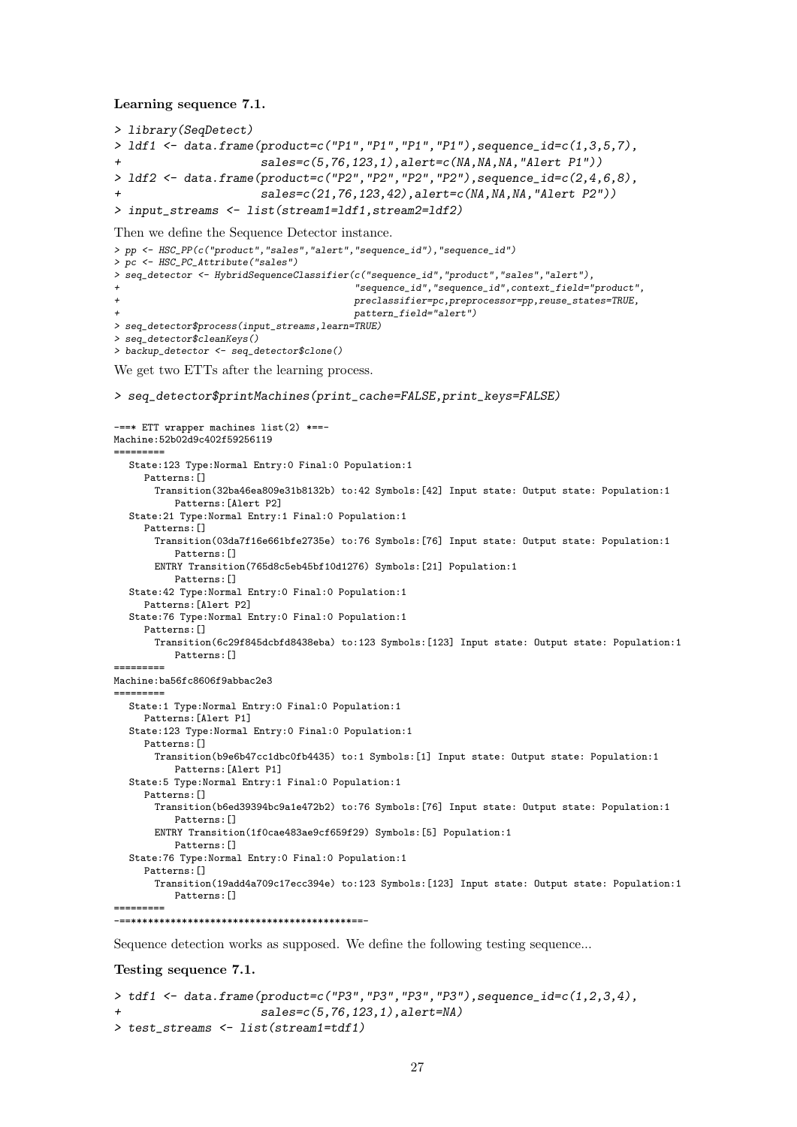Learning sequence 7.1.

```
> library(SeqDetect)
> ldf1 <- data.frame(product=c("P1","P1","P1","P1"),sequence_id=c(1,3,5,7),
                         sales = c(5,76,123,1), alert = c(NA,NA,NA, "Albert P1"))> ldf2 <- data.frame(product=c("P2","P2","P2","P2"),sequence_id=c(2,4,6,8),
+ sales=c(21,76,123,42),alert=c(NA,NA,NA,"Alert P2"))
> input_streams <- list(stream1=ldf1,stream2=ldf2)
Then we define the Sequence Detector instance.
> pp <- HSC_PP(c("product","sales","alert","sequence_id"),"sequence_id")
> pc <- HSC_PC_Attribute("sales")
> seq_detector <- HybridSequenceClassifier(c("sequence_id","product","sales","alert"),
                                         + "sequence_id","sequence_id",context_field="product",
                                         + preclassifier=pc,preprocessor=pp,reuse_states=TRUE,
                                         + pattern_field="alert")
> seq_detector$process(input_streams,learn=TRUE)
> seq_detector$cleanKeys()
> backup_detector <- seq_detector$clone()
We get two ETTs after the learning process.
> seq_detector$printMachines(print_cache=FALSE,print_keys=FALSE)
-==* ETT wrapper machines list(2) *==-
Machine:52b02d9c402f59256119
=========
  State:123 Type:Normal Entry:0 Final:0 Population:1
    Patterns: []
      Transition(32ba46ea809e31b8132b) to:42 Symbols:[42] Input state: Output state: Population:1
          Patterns:[Alert P2]
  State:21 Type:Normal Entry:1 Final:0 Population:1
     Patterns: []
       Transition(03da7f16e661bfe2735e) to:76 Symbols:[76] Input state: Output state: Population:1
          Patterns:[]
      ENTRY Transition(765d8c5eb45bf10d1276) Symbols:[21] Population:1
          Patterns: []
  State:42 Type:Normal Entry:0 Final:0 Population:1
    Patterns:[Alert P2]
  State:76 Type:Normal Entry:0 Final:0 Population:1
    Patterns: []
      Transition(6c29f845dcbfd8438eba) to:123 Symbols:[123] Input state: Output state: Population:1
          Patterns:[]
=========
Machine:ba56fc8606f9abbac2e3
=========
  State:1 Type:Normal Entry:0 Final:0 Population:1
    Patterns:[Alert P1]
  State:123 Type:Normal Entry:0 Final:0 Population:1
    Patterns:[]
      Transition(b9e6b47cc1dbc0fb4435) to:1 Symbols:[1] Input state: Output state: Population:1
          Patterns:[Alert P1]
  State:5 Type:Normal Entry:1 Final:0 Population:1
    Patterns: []
       Transition(b6ed39394bc9a1e472b2) to:76 Symbols:[76] Input state: Output state: Population:1
          Patterns:[]
      ENTRY Transition(1f0cae483ae9cf659f29) Symbols:[5] Population:1
          Patterns:[]
  State:76 Type:Normal Entry:0 Final:0 Population:1
     Patterns:[]
      Transition(19add4a709c17ecc394e) to:123 Symbols:[123] Input state: Output state: Population:1
          Patterns:[]
 =========
```
-==\*\*\*\*\*\*\*\*\*\*\*\*\*\*\*\*\*\*\*\*\*\*\*\*\*\*\*\*\*\*\*\*\*\*\*\*\*\*\*==-

Sequence detection works as supposed. We define the following testing sequence...

#### Testing sequence 7.1.

```
> tdf1 <- data.frame(product=c("P3", "P3", "P3", "P3"), sequence_id=c(1,2,3,4),sales=c(5,76,123,1),alert=NA)
> test_streams <- list(stream1=tdf1)
```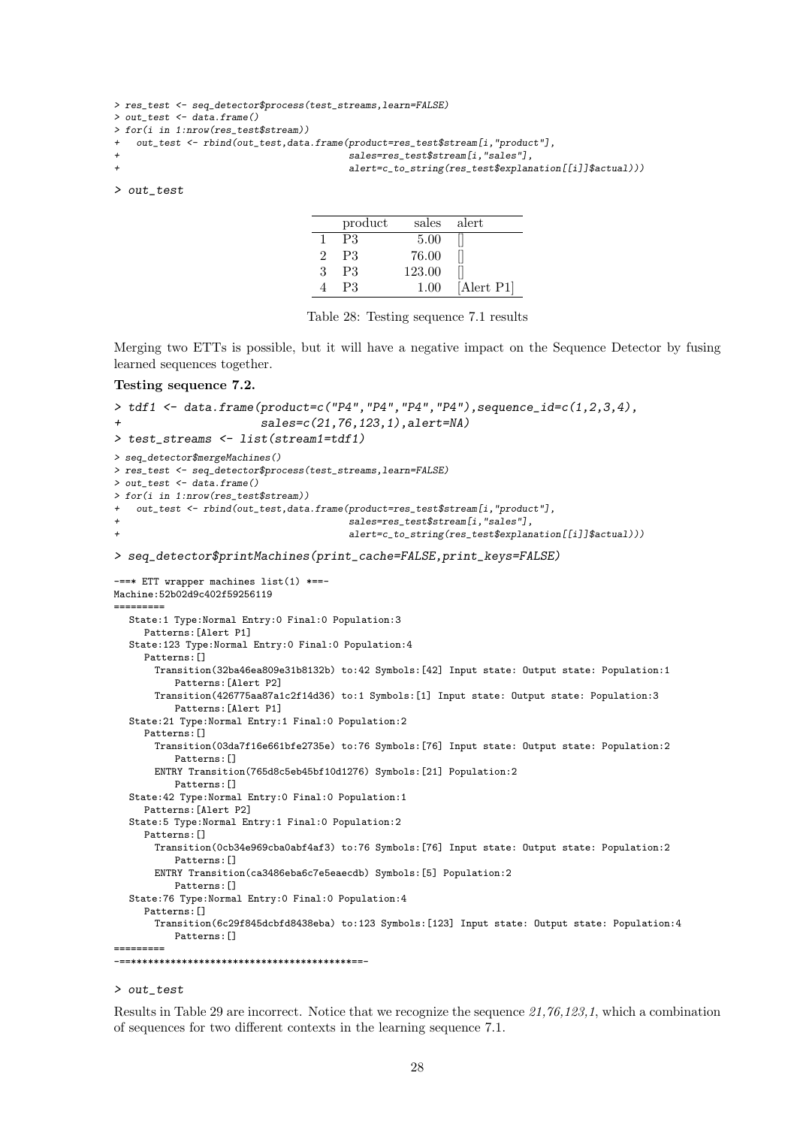```
> res_test <- seq_detector$process(test_streams,learn=FALSE)
> out_test <- data.frame()
> for(i in 1:nrow(res_test$stream))
   out_test <- rbind(out_test,data.frame(product=res_test$stream[i,"product"],
                                          sales=res_test$stream[i,"sales"],
                                          alert=c_to_string(res_test$explanation[[i]]$actual)))
```
> out\_test

|   | product        | sales  | alert      |
|---|----------------|--------|------------|
|   | P3             | 5.00   |            |
| 2 | P <sub>3</sub> | 76.00  |            |
| 3 | P <sub>3</sub> | 123.00 |            |
|   | P3             | 1.00   | [Alert P1] |

Table 28: Testing sequence 7.1 results

Merging two ETTs is possible, but it will have a negative impact on the Sequence Detector by fusing learned sequences together.

#### Testing sequence 7.2.

```
> tdf1 <- data.frame(product=c('P4", "P4", "P4", "P4"), sequence_id=c(1,2,3,4),+ sales=c(21,76,123,1),alert=NA)
> test_streams <- list(stream1=tdf1)
> seq_detector$mergeMachines()
> res_test <- seq_detector$process(test_streams,learn=FALSE)
> out_test <- data.frame()
> for(i in 1:nrow(res_test$stream))
  + out_test <- rbind(out_test,data.frame(product=res_test$stream[i,"product"],
                                        sales=res_test$stream[i,"sales"],
                                        alert=c_to_string(res_test$explanation[[i]]$actual)))
> seq_detector$printMachines(print_cache=FALSE,print_keys=FALSE)
-==* ETT wrapper machines list(1) *==-
Machine:52b02d9c402f59256119
=========
  State:1 Type:Normal Entry:0 Final:0 Population:3
     Patterns: [Alert P1]
  State:123 Type:Normal Entry:0 Final:0 Population:4
     Patterns:[]
      Transition(32ba46ea809e31b8132b) to:42 Symbols:[42] Input state: Output state: Population:1
          Patterns:[Alert P2]
       Transition(426775aa87a1c2f14d36) to:1 Symbols:[1] Input state: Output state: Population:3
          Patterns:[Alert P1]
  State:21 Type:Normal Entry:1 Final:0 Population:2
     Patterns: []
      Transition(03da7f16e661bfe2735e) to:76 Symbols:[76] Input state: Output state: Population:2
          Patterns:[]
       ENTRY Transition(765d8c5eb45bf10d1276) Symbols:[21] Population:2
          Patterns:[]
  State:42 Type:Normal Entry:0 Final:0 Population:1
     Patterns:[Alert P2]
  State:5 Type:Normal Entry:1 Final:0 Population:2
     Patterns:[]
       Transition(0cb34e969cba0abf4af3) to:76 Symbols:[76] Input state: Output state: Population:2
          Patterns:[]
       ENTRY Transition(ca3486eba6c7e5eaecdb) Symbols:[5] Population:2
          Patterns:[]
  State:76 Type:Normal Entry:0 Final:0 Population:4
     Patterns:[]
       Transition(6c29f845dcbfd8438eba) to:123 Symbols:[123] Input state: Output state: Population:4
          Patterns:[]
=========
 -==***************************************==-
```
#### > out\_test

Results in Table 29 are incorrect. Notice that we recognize the sequence 21,76,123,1, which a combination of sequences for two different contexts in the learning sequence 7.1.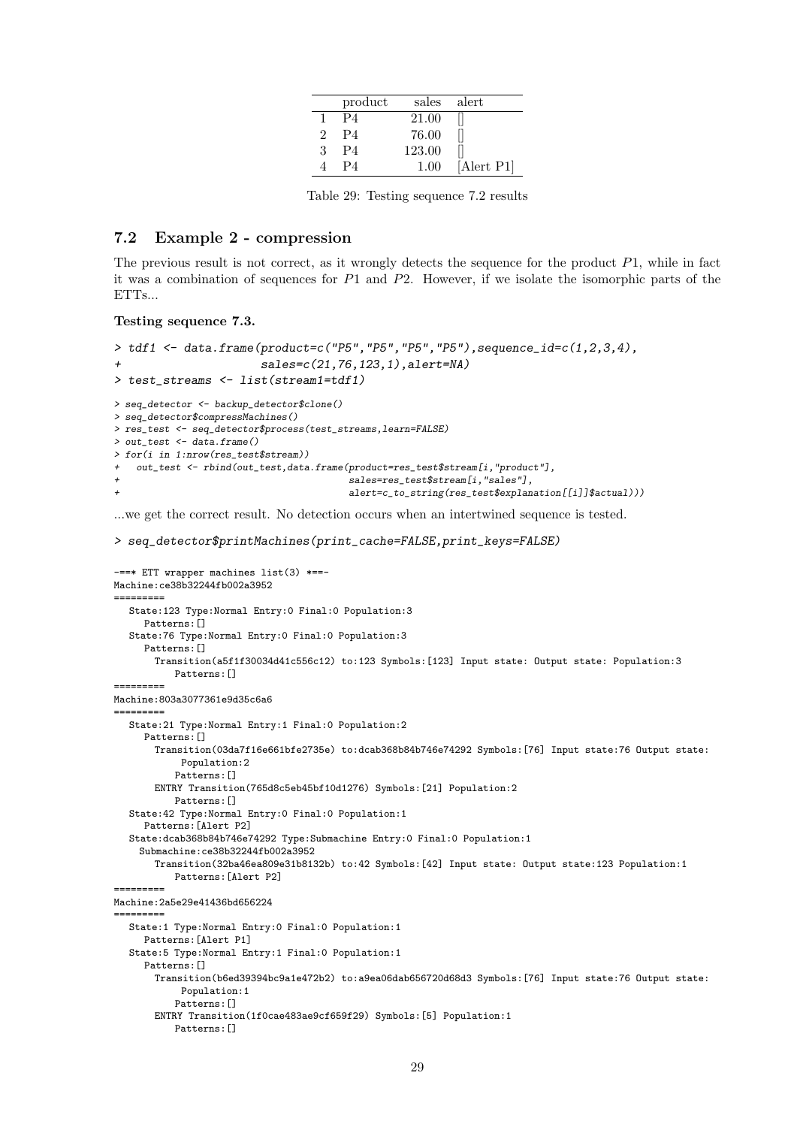|               | product | sales  | alert      |
|---------------|---------|--------|------------|
|               | P4      | 21.00  |            |
| $\mathcal{D}$ | P4      | 76.00  |            |
| 3             | P4      | 123.00 |            |
|               | P4      | 1.00   | [Alert P1] |

Table 29: Testing sequence 7.2 results

#### 7.2 Example 2 - compression

The previous result is not correct, as it wrongly detects the sequence for the product  $P1$ , while in fact it was a combination of sequences for  $P1$  and  $P2$ . However, if we isolate the isomorphic parts of the  $ETTs$ 

```
Testing sequence 7.3.
```

```
> tdf1 < - data.frame(product=c("P5","P5","P5","P5"),sequence_id=c(1,2,3,4),
+ sales=c(21,76,123,1),alert=NA)
> test_streams <- list(stream1=tdf1)
> seq_detector <- backup_detector$clone()
> seq_detector$compressMachines()
> res_test <- seq_detector$process(test_streams,learn=FALSE)
> out_test <- data.frame()
> for(i in 1:nrow(res_test$stream))
  out_test <- rbind(out_test,data.frame(product=res_test$stream[i,"product"],
                                      sales=res_test$stream[i,"sales"],
                                      alert=c_to_string(res_test$explanation[[i]]$actual)))
```
...we get the correct result. No detection occurs when an intertwined sequence is tested.

```
> seq_detector$printMachines(print_cache=FALSE,print_keys=FALSE)
```

```
-==* ETT wrapper machines list(3) *==-
Machine:ce38b32244fb002a3952
=========
  State:123 Type:Normal Entry:0 Final:0 Population:3
     Patterns: []
  State:76 Type:Normal Entry:0 Final:0 Population:3
     Patterns:[]
       Transition(a5f1f30034d41c556c12) to:123 Symbols:[123] Input state: Output state: Population:3
          Patterns:[]
=========
Machine:803a3077361e9d35c6a6
=========
  State:21 Type:Normal Entry:1 Final:0 Population:2
     Patterns: []
       Transition(03da7f16e661bfe2735e) to:dcab368b84b746e74292 Symbols:[76] Input state:76 Output state:
           Population:2
          Patterns:[]
       ENTRY Transition(765d8c5eb45bf10d1276) Symbols:[21] Population:2
          Patterns:[]
  State:42 Type:Normal Entry:0 Final:0 Population:1
     Patterns:[Alert P2]
  State:dcab368b84b746e74292 Type:Submachine Entry:0 Final:0 Population:1
    Submachine:ce38b32244fb002a3952
       Transition(32ba46ea809e31b8132b) to:42 Symbols:[42] Input state: Output state:123 Population:1
          Patterns:[Alert P2]
=========
Machine:2a5e29e41436bd656224
=========
  State:1 Type:Normal Entry:0 Final:0 Population:1
     Patterns:[Alert P1]
  State:5 Type:Normal Entry:1 Final:0 Population:1
     Patterns:[]
       Transition(b6ed39394bc9a1e472b2) to:a9ea06dab656720d68d3 Symbols:[76] Input state:76 Output state:
           Population:1
           Patterns:[]
       ENTRY Transition(1f0cae483ae9cf659f29) Symbols:[5] Population:1
           Patterns:[]
```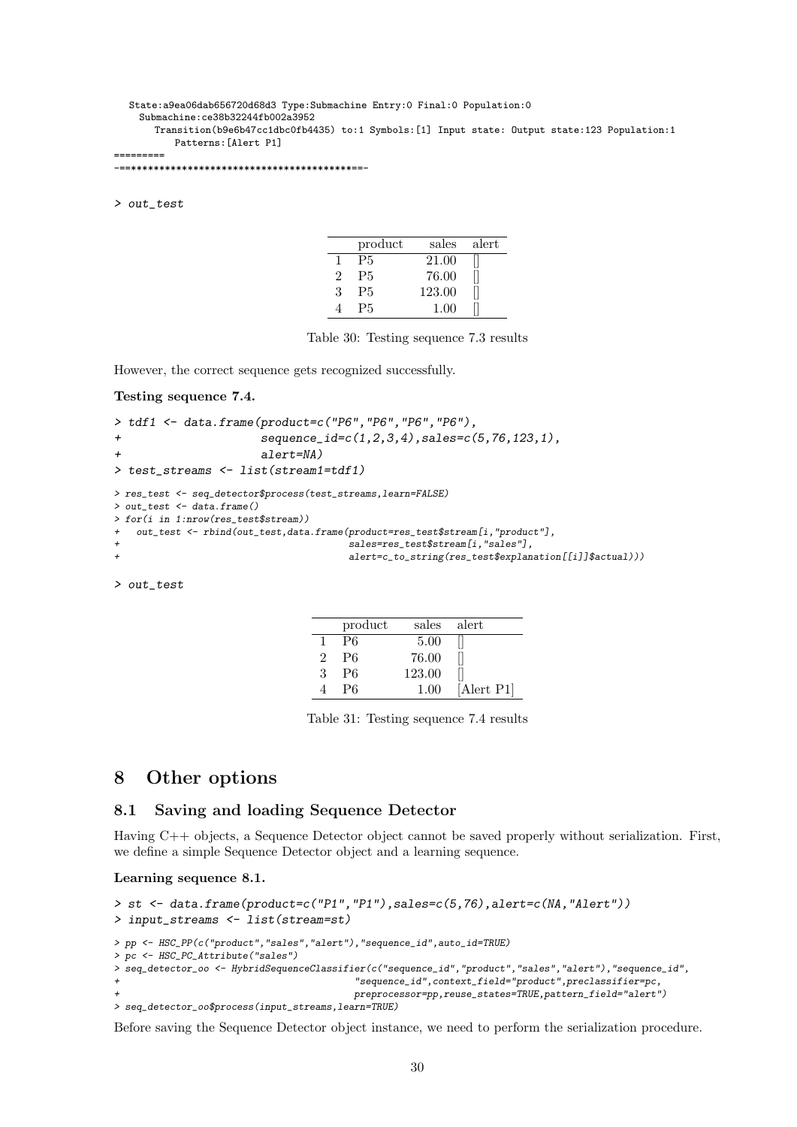#### State:a9ea06dab656720d68d3 Type:Submachine Entry:0 Final:0 Population:0 Submachine:ce38b32244fb002a3952 Transition(b9e6b47cc1dbc0fb4435) to:1 Symbols:[1] Input state: Output state:123 Population:1 Patterns:[Alert P1]

```
=========
-==***************************************==-
```
> out\_test

|   | product   | sales  | alert |
|---|-----------|--------|-------|
|   | <b>P5</b> | 21.00  |       |
| 9 | <b>P5</b> | 76.00  |       |
| З | <b>P5</b> | 123.00 |       |
|   | P5.       | 1.00   |       |

Table 30: Testing sequence 7.3 results

However, the correct sequence gets recognized successfully.

#### Testing sequence 7.4.

```
> tdf1 <- data.frame(product=c("P6","P6","P6","P6"),
+ sequence_id=c(1,2,3,4),sales=c(5,76,123,1),
+ alert=NA)
> test_streams <- list(stream1=tdf1)
> res_test <- seq_detector$process(test_streams,learn=FALSE)
> out_test <- data.frame()
> for(i in 1:nrow(res_test$stream))
+ out_test <- rbind(out_test,data.frame(product=res_test$stream[i,"product"],
                                   sales=res_test$stream[i,"sales"],
                                   alert=c_to_string(res_test$explanation[[i]]$actual)))
```
> out\_test

|   | product        | sales  | alert      |
|---|----------------|--------|------------|
|   | P <sub>6</sub> | 5.00   |            |
| 2 | P <sub>6</sub> | 76.00  |            |
| 3 | P6             | 123.00 |            |
|   | P6             | 1.00   | [Alert P1] |

Table 31: Testing sequence 7.4 results

### 8 Other options

#### 8.1 Saving and loading Sequence Detector

Having C++ objects, a Sequence Detector object cannot be saved properly without serialization. First, we define a simple Sequence Detector object and a learning sequence.

#### Learning sequence 8.1.

```
> st <- data.frame(product=c("P1","P1"),sales=c(5,76),alert=c(NA,"Alert"))
> input_streams <- list(stream=st)
> pp <- HSC_PP(c("product","sales","alert"),"sequence_id",auto_id=TRUE)
> pc <- HSC_PC_Attribute("sales")
> seq_detector_oo <- HybridSequenceClassifier(c("sequence_id","product","sales","alert"),"sequence_id",
                                         + "sequence_id",context_field="product",preclassifier=pc,
                                         + preprocessor=pp,reuse_states=TRUE,pattern_field="alert")
> seq_detector_oo$process(input_streams,learn=TRUE)
```
Before saving the Sequence Detector object instance, we need to perform the serialization procedure.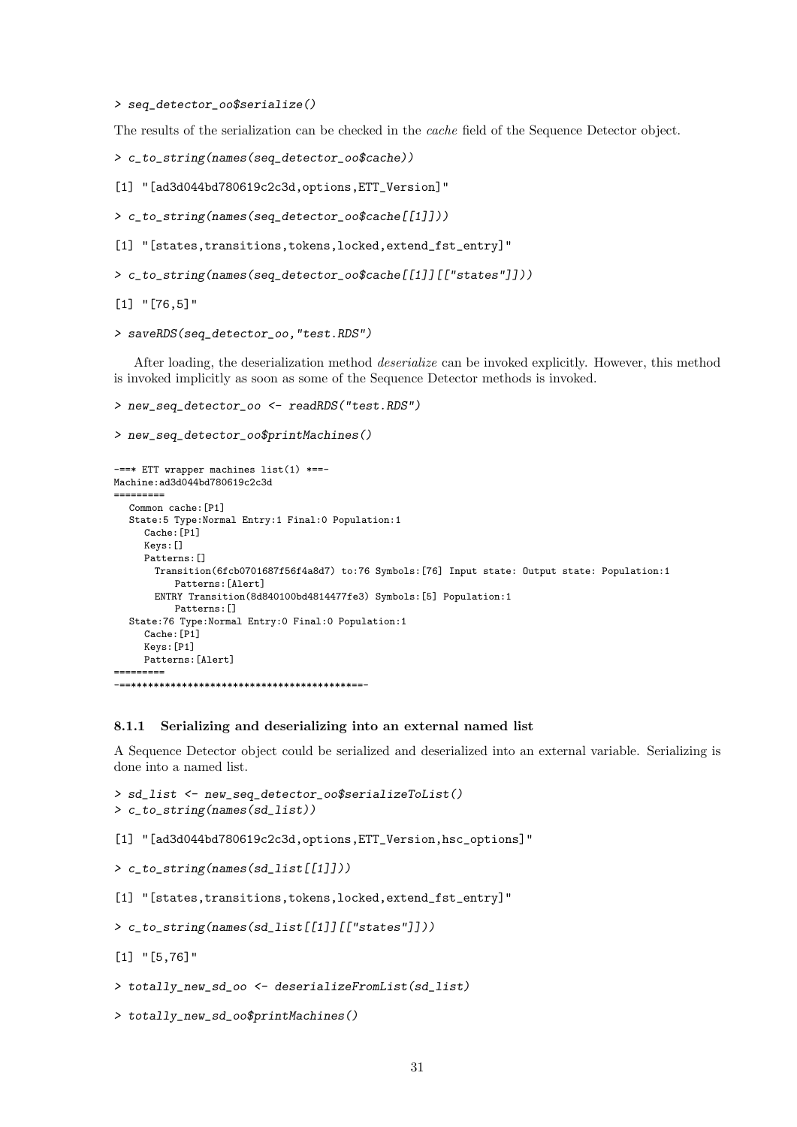> seq\_detector\_oo\$serialize()

The results of the serialization can be checked in the cache field of the Sequence Detector object.

> c\_to\_string(names(seq\_detector\_oo\$cache))

[1] "[ad3d044bd780619c2c3d,options,ETT\_Version]"

> c\_to\_string(names(seq\_detector\_oo\$cache[[1]]))

```
[1] "[states,transitions,tokens,locked,extend_fst_entry]"
```
> c\_to\_string(names(seq\_detector\_oo\$cache[[1]][["states"]]))

[1] "[76,5]"

```
> saveRDS(seq_detector_oo,"test.RDS")
```
After loading, the deserialization method deserialize can be invoked explicitly. However, this method is invoked implicitly as soon as some of the Sequence Detector methods is invoked.

```
> new_seq_detector_oo <- readRDS("test.RDS")
```

```
> new_seq_detector_oo$printMachines()
```

```
-==* ETT wrapper machines list(1) *==-
Machine:ad3d044bd780619c2c3d
=========
  Common cache:[P1]
  State:5 Type:Normal Entry:1 Final:0 Population:1
     Cache:[P1]
     Keys:[]
     Patterns:[]
       Transition(6fcb0701687f56f4a8d7) to:76 Symbols:[76] Input state: Output state: Population:1
          Patterns:[Alert]
       ENTRY Transition(8d840100bd4814477fe3) Symbols:[5] Population:1
          Patterns:[]
  State:76 Type:Normal Entry:0 Final:0 Population:1
     Cache:[P1]
     Keys:[P1]
     Patterns:[Alert]
     =========
-==***************************************==-
```
#### 8.1.1 Serializing and deserializing into an external named list

A Sequence Detector object could be serialized and deserialized into an external variable. Serializing is done into a named list.

```
> sd_list <- new_seq_detector_oo$serializeToList()
> c_to_string(names(sd_list))
```
[1] "[ad3d044bd780619c2c3d,options,ETT\_Version,hsc\_options]"

> c\_to\_string(names(sd\_list[[1]]))

[1] "[states,transitions,tokens,locked,extend\_fst\_entry]"

```
> c_to_string(names(sd_list[[1]][["states"]]))
```

```
[1] "[5,76]"
```
> totally\_new\_sd\_oo <- deserializeFromList(sd\_list)

```
> totally_new_sd_oo$printMachines()
```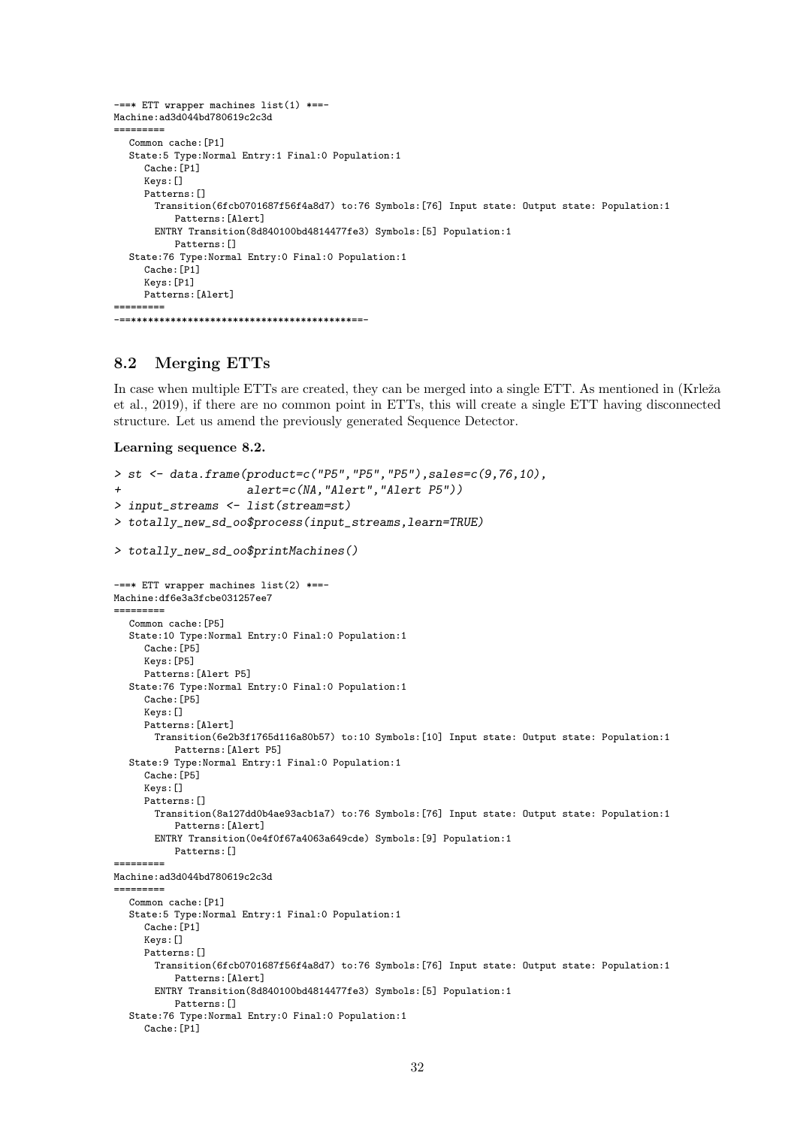```
-==* ETT wrapper machines list(1) *==-
Machine:ad3d044bd780619c2c3d
=========
  Common cache:[P1]
  State:5 Type:Normal Entry:1 Final:0 Population:1
     Cache:[P1]
     Keys:[]
     Patterns:[]
       Transition(6fcb0701687f56f4a8d7) to:76 Symbols:[76] Input state: Output state: Population:1
           Patterns:[Alert]
       ENTRY Transition(8d840100bd4814477fe3) Symbols:[5] Population:1
          Patterns:[]
  State:76 Type:Normal Entry:0 Final:0 Population:1
     Cache:[P1]
     Keys:[P1]
     Patterns:[Alert]
    =-==***************************************==-
```
#### 8.2 Merging ETTs

In case when multiple ETTs are created, they can be merged into a single ETT. As mentioned in (Krleža et al., 2019), if there are no common point in ETTs, this will create a single ETT having disconnected structure. Let us amend the previously generated Sequence Detector.

```
Learning sequence 8.2.
```

```
> st <- data.frame(product=c("P5", "P5", "P5"), sales=c(9,76,10),+ alert=c(NA,"Alert","Alert P5"))
> input_streams <- list(stream=st)
> totally new sd oo$process(input streams,learn=TRUE)
> totally_new_sd_oo$printMachines()
 -==* ETT wrapper machines list(2) *==-
Machine:df6e3a3fcbe031257ee7
=========
  Common cache:[P5]
  State:10 Type:Normal Entry:0 Final:0 Population:1
     Cache:[P5]
     Keys:[P5]
    Patterns:[Alert P5]
  State:76 Type:Normal Entry:0 Final:0 Population:1
     Cache:[P5]
     Keys:[]
     Patterns:[Alert]
      Transition(6e2b3f1765d116a80b57) to:10 Symbols:[10] Input state: Output state: Population:1
          Patterns:[Alert P5]
  State:9 Type:Normal Entry:1 Final:0 Population:1
     Cache:[P5]
     Keys:[]
     Patterns:[]
      Transition(8a127dd0b4ae93acb1a7) to:76 Symbols:[76] Input state: Output state: Population:1
          Patterns:[Alert]
      ENTRY Transition(0e4f0f67a4063a649cde) Symbols:[9] Population:1
          Patterns:[]
=========
Machine:ad3d044bd780619c2c3d
=========
  Common cache:[P1]
  State:5 Type:Normal Entry:1 Final:0 Population:1
     Cache:[P1]
     Keys:[]
     Patterns: []
       Transition(6fcb0701687f56f4a8d7) to:76 Symbols:[76] Input state: Output state: Population:1
          Patterns:[Alert]
       ENTRY Transition(8d840100bd4814477fe3) Symbols:[5] Population:1
         Patterns:[]
  State:76 Type:Normal Entry:0 Final:0 Population:1
     Cache:[P1]
```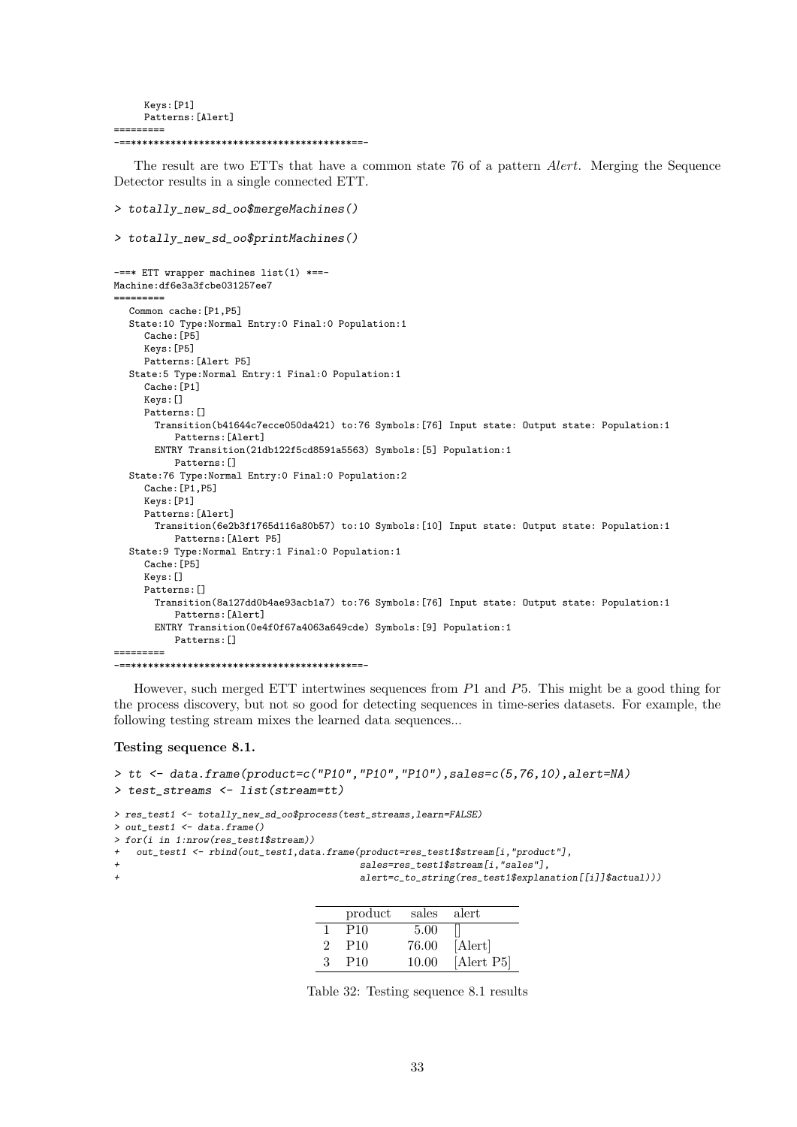Keys:[P1] Patterns:[Alert] ========= -==\*\*\*\*\*\*\*\*\*\*\*\*\*\*\*\*\*\*\*\*\*\*\*\*\*\*\*\*\*\*\*\*\*\*\*\*\*\*\*==-

The result are two ETTs that have a common state 76 of a pattern Alert. Merging the Sequence Detector results in a single connected ETT.

```
> totally_new_sd_oo$mergeMachines()
> totally_new_sd_oo$printMachines()
-==* ETT wrapper machines list(1) *==-
Machine:df6e3a3fcbe031257ee7
=========
  Common cache:[P1,P5]
  State:10 Type:Normal Entry:0 Final:0 Population:1
     Cache:[P5]
     Keys:[P5]
     Patterns:[Alert P5]
  State:5 Type:Normal Entry:1 Final:0 Population:1
     Cache:[P1]
     Keys:[]
     Patterns: []
       Transition(b41644c7ecce050da421) to:76 Symbols:[76] Input state: Output state: Population:1
          Patterns:[Alert]
       ENTRY Transition(21db122f5cd8591a5563) Symbols:[5] Population:1
          Patterns:[]
  State:76 Type:Normal Entry:0 Final:0 Population:2
     Cache:[P1,P5]
     Keys:[P1]
     Patterns:[Alert]
       Transition(6e2b3f1765d116a80b57) to:10 Symbols:[10] Input state: Output state: Population:1
          Patterns:[Alert P5]
  State:9 Type:Normal Entry:1 Final:0 Population:1
     Cache: [P5]
     Keys:[]
     Patterns:[]
       Transition(8a127dd0b4ae93acb1a7) to:76 Symbols:[76] Input state: Output state: Population:1
          Patterns:[Alert]
       ENTRY Transition(0e4f0f67a4063a649cde) Symbols:[9] Population:1
          Patterns:[]
=========
-==***************************************==-
```
However, such merged ETT intertwines sequences from P1 and P5. This might be a good thing for the process discovery, but not so good for detecting sequences in time-series datasets. For example, the following testing stream mixes the learned data sequences...

#### Testing sequence 8.1.

```
> tt <- data.frame(product=c("P10","P10","P10"),sales=c(5,76,10),alert=NA)
> test_streams <- list(stream=tt)
> res_test1 <- totally_new_sd_oo$process(test_streams,learn=FALSE)
> out_test1 <- data.frame()
> for(i in 1:nrow(res_test1$stream))
   out_test1 <- rbind(out_test1,data.frame(product=res_test1$stream[i,"product"],
+ sales=res_test1$stream[i,"sales"],
+ alert=c_to_string(res_test1$explanation[[i]]$actual)))
```

|               | product         | sales alert |            |
|---------------|-----------------|-------------|------------|
|               | P <sub>10</sub> | 5.00        |            |
| $\mathcal{D}$ | P <sub>10</sub> | 76.00       | [Alert]    |
| 3             | P <sub>10</sub> | 10.00       | [Alert P5] |

Table 32: Testing sequence 8.1 results